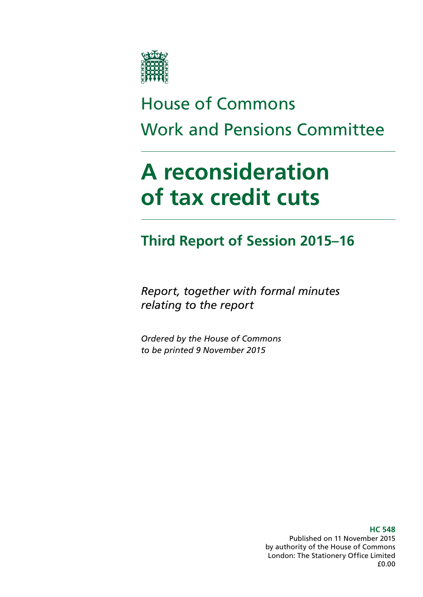

# House of Commons Work and Pensions Committee

# **A reconsideration of tax credit cuts**

# **Third Report of Session 2015–16**

*Report, together with formal minutes relating to the report*

*Ordered by the House of Commons to be printed 9 November 2015*

> **HC 548** Published on 11 November 2015 by authority of the House of Commons London: The Stationery Office Limited £0.00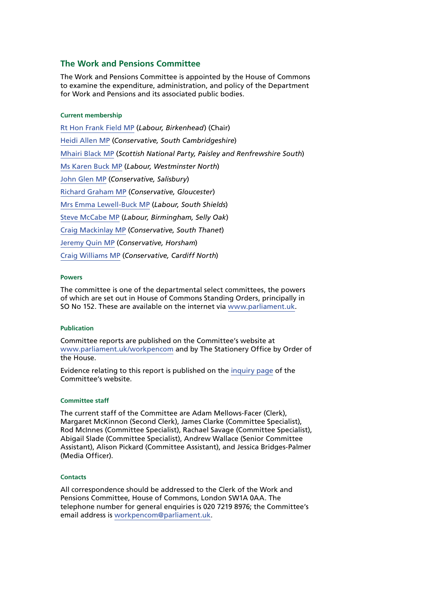### **The Work and Pensions Committee**

The Work and Pensions Committee is appointed by the House of Commons to examine the expenditure, administration, and policy of the Department for Work and Pensions and its associated public bodies.

### **Current membership**

[Rt Hon Frank Field MP](http://www.parliament.uk/biographies/commons/frank-field/478) (*Labour, Birkenhead*) (Chair) [Heidi Allen MP](http://www.parliament.uk/biographies/commons/heidi-allen/4516) (*Conservative, South Cambridgeshire*) [Mhairi Black MP](http://www.parliament.uk/biographies/commons/mhairi-black/4421) (*Scottish National Party, Paisley and Renfrewshire South*) [Ms Karen Buck MP](http://www.parliament.uk/biographies/commons/ms-karen-buck/199) (*Labour, Westminster North*) [John Glen MP](http://www.parliament.uk/biographies/commons/john-glen/4051) (*Conservative, Salisbury*) [Richard Graham MP](http://www.parliament.uk/biographies/commons/richard-graham/3990) (*Conservative, Gloucester*) [Mrs Emma Lewell-Buck MP](http://www.parliament.uk/biographies/commons/mrs-emma-lewell-buck/4277) (*Labour, South Shields*) [Steve McCabe MP](http://www.parliament.uk/biographies/commons/steve-mccabe/298) (*Labour, Birmingham, Selly Oak*) [Craig Mackinlay MP](http://www.parliament.uk/biographies/commons/craig-mackinlay/4529) (*Conservative, South Thanet*) [Jeremy Quin MP](http://www.parliament.uk/biographies/commons/jeremy-quin/4507) (*Conservative, Horsham*) [Craig Williams MP](http://www.parliament.uk/biographies/commons/craig-williams/4438) (*Conservative, Cardiff North*)

### **Powers**

The committee is one of the departmental select committees, the powers of which are set out in House of Commons Standing Orders, principally in SO No 152. These are available on the internet via [www.parliament.uk](http://www.parliament.uk).

### **Publication**

Committee reports are published on the Committee's website at [www.parliament.uk/workpencom](http://www.parliament.uk/workpencom) and by The Stationery Office by Order of the House.

Evidence relating to this report is published on the [inquiry page](http://www.parliament.uk/business/committees/committees-a-z/commons-select/work-and-pensions-committee/inquiries/parliament-2015/tax-credits-15-16/) of the Committee's website.

### **Committee staff**

The current staff of the Committee are Adam Mellows-Facer (Clerk), Margaret McKinnon (Second Clerk), James Clarke (Committee Specialist), Rod McInnes (Committee Specialist), Rachael Savage (Committee Specialist), Abigail Slade (Committee Specialist), Andrew Wallace (Senior Committee Assistant), Alison Pickard (Committee Assistant), and Jessica Bridges-Palmer (Media Officer).

### **Contacts**

All correspondence should be addressed to the Clerk of the Work and Pensions Committee, House of Commons, London SW1A 0AA. The telephone number for general enquiries is 020 7219 8976; the Committee's email address is [workpencom@parliament.uk.](mailto:workpencom@parliament.uk)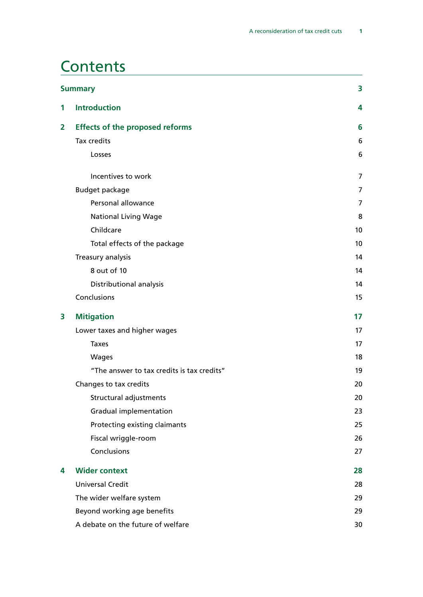# **Contents**

|                         | <b>Summary</b>                             | 3              |
|-------------------------|--------------------------------------------|----------------|
| 1                       | <b>Introduction</b>                        | 4              |
| $\overline{\mathbf{2}}$ | <b>Effects of the proposed reforms</b>     | 6              |
|                         | Tax credits                                | 6              |
|                         | Losses                                     | 6              |
|                         | Incentives to work                         | $\overline{7}$ |
|                         | <b>Budget package</b>                      | 7              |
|                         | Personal allowance                         | $\overline{7}$ |
|                         | <b>National Living Wage</b>                | 8              |
|                         | Childcare                                  | 10             |
|                         | Total effects of the package               | 10             |
|                         | Treasury analysis                          | 14             |
|                         | 8 out of 10                                | 14             |
|                         | Distributional analysis                    | 14             |
|                         | Conclusions                                | 15             |
| 3                       | <b>Mitigation</b>                          | 17             |
|                         | Lower taxes and higher wages               | 17             |
|                         | <b>Taxes</b>                               | 17             |
|                         | Wages                                      | 18             |
|                         | "The answer to tax credits is tax credits" | 19             |
|                         | Changes to tax credits                     | 20             |
|                         | Structural adjustments                     | 20             |
|                         | Gradual implementation                     | 23             |
|                         | Protecting existing claimants              | 25             |
|                         | Fiscal wriggle-room                        | 26             |
|                         | Conclusions                                | 27             |
| 4                       | <b>Wider context</b>                       | 28             |
|                         | <b>Universal Credit</b>                    | 28             |
|                         | The wider welfare system                   | 29             |
|                         | Beyond working age benefits                | 29             |
|                         | A debate on the future of welfare          | 30             |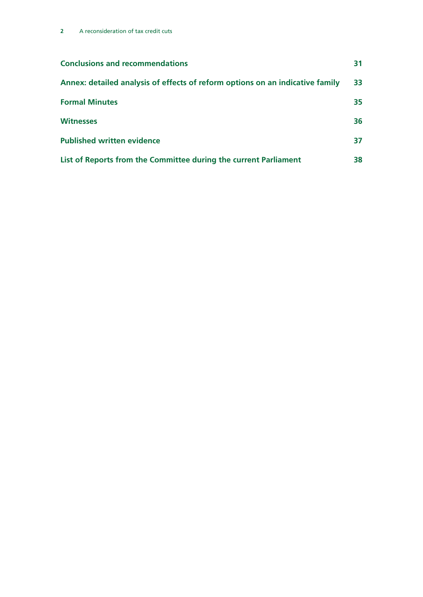| <b>Conclusions and recommendations</b>                                        | 31 |
|-------------------------------------------------------------------------------|----|
| Annex: detailed analysis of effects of reform options on an indicative family | 33 |
| <b>Formal Minutes</b>                                                         | 35 |
| <b>Witnesses</b>                                                              | 36 |
| <b>Published written evidence</b>                                             | 37 |
| List of Reports from the Committee during the current Parliament              | 38 |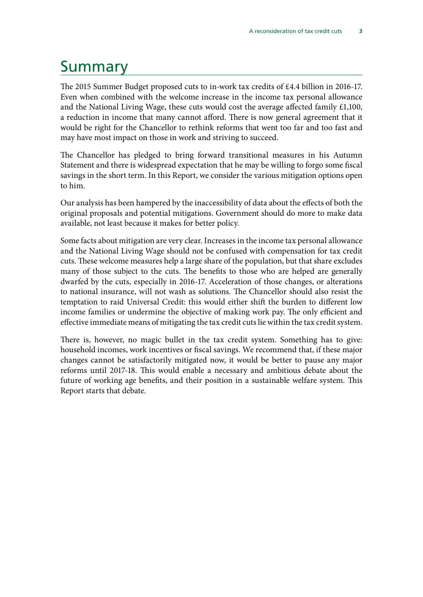# <span id="page-4-0"></span>Summary

The 2015 Summer Budget proposed cuts to in-work tax credits of £4.4 billion in 2016-17. Even when combined with the welcome increase in the income tax personal allowance and the National Living Wage, these cuts would cost the average affected family £1,100, a reduction in income that many cannot afford. There is now general agreement that it would be right for the Chancellor to rethink reforms that went too far and too fast and may have most impact on those in work and striving to succeed.

The Chancellor has pledged to bring forward transitional measures in his Autumn Statement and there is widespread expectation that he may be willing to forgo some fiscal savings in the short term. In this Report, we consider the various mitigation options open to him.

Our analysis has been hampered by the inaccessibility of data about the effects of both the original proposals and potential mitigations. Government should do more to make data available, not least because it makes for better policy.

Some facts about mitigation are very clear. Increases in the income tax personal allowance and the National Living Wage should not be confused with compensation for tax credit cuts. These welcome measures help a large share of the population, but that share excludes many of those subject to the cuts. The benefits to those who are helped are generally dwarfed by the cuts, especially in 2016-17. Acceleration of those changes, or alterations to national insurance, will not wash as solutions. The Chancellor should also resist the temptation to raid Universal Credit: this would either shift the burden to different low income families or undermine the objective of making work pay. The only efficient and effective immediate means of mitigating the tax credit cuts lie within the tax credit system.

There is, however, no magic bullet in the tax credit system. Something has to give: household incomes, work incentives or fiscal savings. We recommend that, if these major changes cannot be satisfactorily mitigated now, it would be better to pause any major reforms until 2017-18. This would enable a necessary and ambitious debate about the future of working age benefits, and their position in a sustainable welfare system. This Report starts that debate.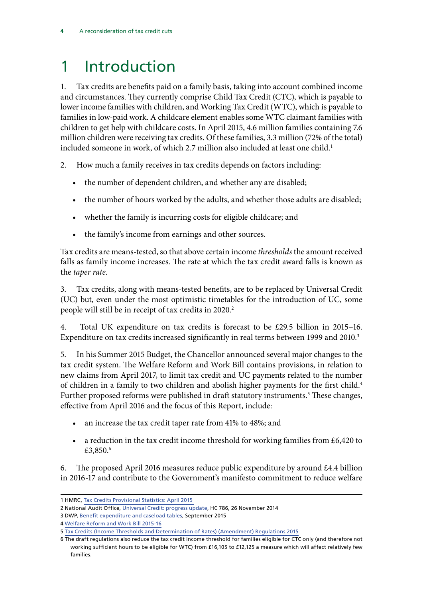# <span id="page-5-0"></span>1 Introduction

1. Tax credits are benefits paid on a family basis, taking into account combined income and circumstances. They currently comprise Child Tax Credit (CTC), which is payable to lower income families with children, and Working Tax Credit (WTC), which is payable to families in low-paid work. A childcare element enables some WTC claimant families with children to get help with childcare costs. In April 2015, 4.6 million families containing 7.6 million children were receiving tax credits. Of these families, 3.3 million (72% of the total) included someone in work, of which 2.7 million also included at least one child.<sup>1</sup>

2. How much a family receives in tax credits depends on factors including:

- the number of dependent children, and whether any are disabled;
- the number of hours worked by the adults, and whether those adults are disabled;
- whether the family is incurring costs for eligible childcare; and
- the family's income from earnings and other sources.

Tax credits are means-tested, so that above certain income *thresholds* the amount received falls as family income increases. The rate at which the tax credit award falls is known as the *taper rate*.

3. Tax credits, along with means-tested benefits, are to be replaced by Universal Credit (UC) but, even under the most optimistic timetables for the introduction of UC, some people will still be in receipt of tax credits in 2020.<sup>2</sup>

4. Total UK expenditure on tax credits is forecast to be £29.5 billion in 2015–16. Expenditure on tax credits increased significantly in real terms between 1999 and 2010.<sup>3</sup>

5. In his Summer 2015 Budget, the Chancellor announced several major changes to the tax credit system. The Welfare Reform and Work Bill contains provisions, in relation to new claims from April 2017, to limit tax credit and UC payments related to the number of children in a family to two children and abolish higher payments for the first child.<sup>4</sup> Further proposed reforms were published in draft statutory instruments.<sup>5</sup> These changes, effective from April 2016 and the focus of this Report, include:

- an increase the tax credit taper rate from 41% to 48%; and
- a reduction in the tax credit income threshold for working families from  $£6,420$  to £3,850.<sup>6</sup>

6. The proposed April 2016 measures reduce public expenditure by around  $\pounds 4.4$  billion in 2016-17 and contribute to the Government's manifesto commitment to reduce welfare

<sup>1</sup> HMRC, [Tax Credits Provisional Statistics: April 2015](https://www.gov.uk/government/statistics/personal-tax-credits-provisional-statistics-2013-to-2009)

<sup>2</sup> National Audit Office, [Universal Credit: progress](https://www.nao.org.uk/wp-content/uploads/2014/11/Universal-Credit-progress-update.pdf) update, HC 786, 26 November 2014

<sup>3</sup> DWP, [Benefit expenditure and caseload tables,](https://www.gov.uk/government/collections/benefit-expenditure-tables) September 2015

<sup>4</sup> [Welfare Reform and Work Bill 2015-16](file://hpap03f/DIS_Rdf$/mellowsfacera/Desktop/services.parliament.uk/bills/2015-16/welfarereformandwork/documents.html)

<sup>5</sup> [Tax Credits \(Income Thresholds and Determination of Rates\) \(Amendment\) Regulations 2015](http://www.legislation.gov.uk/ukdsi/2015/9780111138946/contents)

<sup>6</sup> The draft regulations also reduce the tax credit income threshold for families eligible for CTC only (and therefore not working sufficient hours to be eligible for WTC) from £16,105 to £12,125 a measure which will affect relatively few families.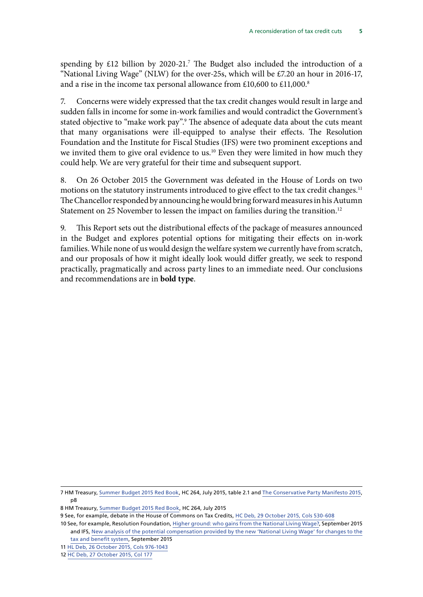spending by  $£12$  billion by 2020-21.<sup>7</sup> The Budget also included the introduction of a "National Living Wage" (NLW) for the over-25s, which will be  $\text{\pounds}7.20$  an hour in 2016-17, and a rise in the income tax personal allowance from  $£10,600$  to  $£11,000$ .<sup>8</sup>

7. Concerns were widely expressed that the tax credit changes would result in large and sudden falls in income for some in-work families and would contradict the Government's stated objective to "make work pay".<sup>9</sup> The absence of adequate data about the cuts meant that many organisations were ill-equipped to analyse their effects. The Resolution Foundation and the Institute for Fiscal Studies (IFS) were two prominent exceptions and we invited them to give oral evidence to us.<sup>10</sup> Even they were limited in how much they could help. We are very grateful for their time and subsequent support.

8. On 26 October 2015 the Government was defeated in the House of Lords on two motions on the statutory instruments introduced to give effect to the tax credit changes.<sup>11</sup> The Chancellor responded by announcing he would bring forward measures in his Autumn Statement on 25 November to lessen the impact on families during the transition.<sup>12</sup>

9. This Report sets out the distributional effects of the package of measures announced in the Budget and explores potential options for mitigating their effects on in-work families. While none of us would design the welfare system we currently have from scratch, and our proposals of how it might ideally look would differ greatly, we seek to respond practically, pragmatically and across party lines to an immediate need. Our conclusions and recommendations are in **bold type**.

<sup>7</sup> HM Treasury, [Summer Budget 2015 Red Book,](https://www.gov.uk/government/uploads/system/uploads/attachment_data/file/443232/50325_Summer_Budget_15_Web_Accessible.pdf) HC 264, July 2015, table 2.1 and [The Conservative Party Manifesto 2015](http://www.conservatives.com/manifesto), p8

<sup>8</sup> HM Treasury, [Summer Budget 2015 Red Book,](https://www.gov.uk/government/uploads/system/uploads/attachment_data/file/443232/50325_Summer_Budget_15_Web_Accessible.pdf) HC 264, July 2015

<sup>9</sup> See, for example, debate in the House of Commons on Tax Credits, HC Deb, 29 October 2015, Cols 530-608

<sup>10</sup> See, for example, Resolution Foundation, [Higher ground: who gains from the National Living Wage?](http://www.resolutionfoundation.org/publications), September 2015 and IFS, [New analysis of the potential compensation provided by the new 'National Living Wage' for changes to the](http://www.ifs.org.uk/publications/7980) [tax and benefit system,](http://www.ifs.org.uk/publications/7980) September 2015

<sup>11</sup> [HL Deb, 26 October 2015, Cols 976-1043](http://www.publications.parliament.uk/pa/ld201516/ldhansrd/index/151026.html)

<sup>12</sup> HC Deb, 27 October 2015, Col 177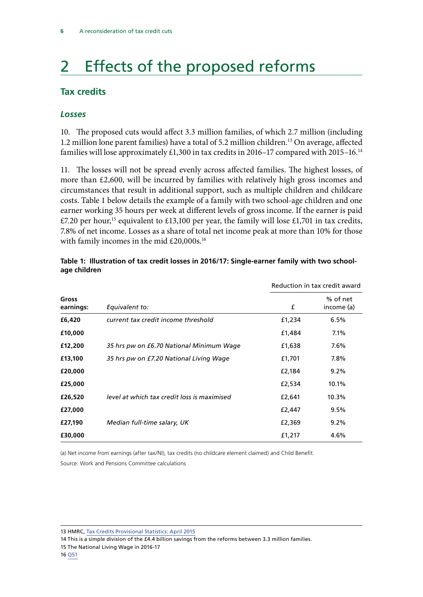# <span id="page-7-0"></span>2 Effects of the proposed reforms

### **Tax credits**

### *Losses*

10. The proposed cuts would affect 3.3 million families, of which 2.7 million (including 1.2 million lone parent families) have a total of 5.2 million children.<sup>13</sup> On average, affected families will lose approximately  $£1,300$  in tax credits in 2016–17 compared with 2015–16.<sup>14</sup>

11. The losses will not be spread evenly across affected families. The highest losses, of more than £2,600, will be incurred by families with relatively high gross incomes and circumstances that result in additional support, such as multiple children and childcare costs. Table 1 below details the example of a family with two school-age children and one earner working 35 hours per week at different levels of gross income. If the earner is paid £7.20 per hour,<sup>15</sup> equivalent to £13,100 per year, the family will lose £1,701 in tax credits, 7.8% of net income. Losses as a share of total net income peak at more than 10% for those with family incomes in the mid £20,000s.<sup>16</sup>

|                    |                                             |        | Reduction in tax credit award |
|--------------------|---------------------------------------------|--------|-------------------------------|
| Gross<br>earnings: | Equivalent to:                              | £      | % of net<br>income (a)        |
| £6,420             | current tax credit income threshold         | £1,234 | 6.5%                          |
| £10,000            |                                             | £1,484 | 7.1%                          |
| £12,200            | 35 hrs pw on £6.70 National Minimum Wage    | £1,638 | 7.6%                          |
| £13,100            | 35 hrs pw on £7.20 National Living Wage     | £1,701 | 7.8%                          |
| £20,000            |                                             | £2,184 | $9.2\%$                       |
| £25,000            |                                             | £2,534 | 10.1%                         |
| £26,520            | level at which tax credit loss is maximised | £2,641 | 10.3%                         |
| £27,000            |                                             | £2,447 | 9.5%                          |
| £27,190            | Median full-time salary, UK                 | £2,369 | $9.2\%$                       |
| £30,000            |                                             | £1,217 | 4.6%                          |

### **Table 1: Illustration of tax credit losses in 2016/17: Single-earner family with two schoolage children**

(a) Net income from earnings (after tax/NI), tax credits (no childcare element claimed) and Child Benefit.

Source: Work and Pensions Committee calculations

13 HMRC, [Tax Credits Provisional Statistics: April 2015](https://www.gov.uk/government/statistics/personal-tax-credits-provisional-statistics-2013-to-2009)

14 This is a simple division of the £4.4 billion savings from the reforms between 3.3 million families.

<sup>15</sup> The National Living Wage in 2016-17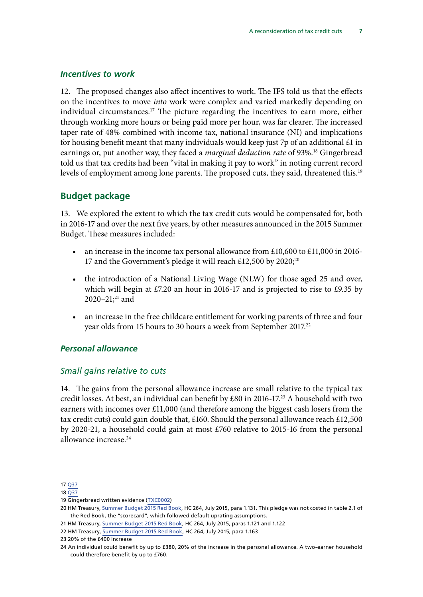### <span id="page-8-0"></span>*Incentives to work*

12. The proposed changes also affect incentives to work. The IFS told us that the effects on the incentives to move *into* work were complex and varied markedly depending on individual circumstances.<sup>17</sup> The picture regarding the incentives to earn more, either through working more hours or being paid more per hour, was far clearer. The increased taper rate of 48% combined with income tax, national insurance (NI) and implications for housing benefit meant that many individuals would keep just 7p of an additional  $£1$  in earnings or, put another way, they faced a *marginal deduction rate* of 93%.<sup>18</sup> Gingerbread told us that tax credits had been "vital in making it pay to work" in noting current record levels of employment among lone parents. The proposed cuts, they said, threatened this.<sup>19</sup>

### **Budget package**

13. We explored the extent to which the tax credit cuts would be compensated for, both in 2016-17 and over the next five years, by other measures announced in the 2015 Summer Budget. These measures included:

- an increase in the income tax personal allowance from £10,600 to £11,000 in 2016- 17 and the Government's pledge it will reach £12,500 by 2020;<sup>20</sup>
- the introduction of a National Living Wage (NLW) for those aged 25 and over, which will begin at £7.20 an hour in 2016-17 and is projected to rise to £9.35 by 2020–21;<sup>21</sup> and
- an increase in the free childcare entitlement for working parents of three and four year olds from 15 hours to 30 hours a week from September 2017.<sup>22</sup>

### *Personal allowance*

### *Small gains relative to cuts*

14. The gains from the personal allowance increase are small relative to the typical tax credit losses. At best, an individual can benefit by £80 in 2016-17.<sup>23</sup> A household with two earners with incomes over £11,000 (and therefore among the biggest cash losers from the tax credit cuts) could gain double that, £160. Should the personal allowance reach £12,500 by 2020-21, a household could gain at most £760 relative to 2015-16 from the personal allowance increase.24

<sup>17</sup> [Q37](file://hpap03f/DIS_Rdf$/mellowsfacera/Desktop/data.parliament.uk/writtenevidence/committeeevidence.svc/evidencedocument/work-and-pensions-committee/tax-credits/oral/23508.html)

<sup>18</sup> [Q37](file://hpap03f/DIS_Rdf$/mellowsfacera/Desktop/data.parliament.uk/writtenevidence/committeeevidence.svc/evidencedocument/work-and-pensions-committee/tax-credits/oral/23508.html)

<sup>19</sup> Gingerbread written evidence ([TXC000](http://www.parliament.uk/business/committees/committees-a-z/commons-select/work-and-pensions-committee/inquiries/parliament-2015/tax-credits-15-16/publications/n)2)

<sup>20</sup> HM Treasury, [Summer Budget 2015 Red Book](https://www.gov.uk/government/uploads/system/uploads/attachment_data/file/443232/50325_Summer_Budget_15_Web_Accessible.pdf), HC 264, July 2015, para 1.131. This pledge was not costed in table 2.1 of the Red Book, the "scorecard", which followed default uprating assumptions.

<sup>21</sup> HM Treasury, [Summer Budget 2015 Red Book,](https://www.gov.uk/government/uploads/system/uploads/attachment_data/file/443232/50325_Summer_Budget_15_Web_Accessible.pdf) HC 264, July 2015, paras 1.121 and 1.122

<sup>22</sup> HM Treasury, [Summer Budget 2015 Red Book,](https://www.gov.uk/government/uploads/system/uploads/attachment_data/file/443232/50325_Summer_Budget_15_Web_Accessible.pdf) HC 264, July 2015, para 1.163

<sup>23 20%</sup> of the £400 increase

<sup>24</sup> An individual could benefit by up to £380, 20% of the increase in the personal allowance. A two-earner household could therefore benefit by up to £760.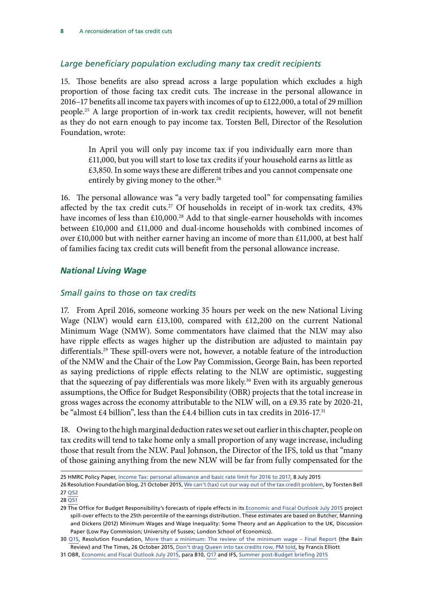### <span id="page-9-0"></span>*Large beneficiary population excluding many tax credit recipients*

15. Those benefits are also spread across a large population which excludes a high proportion of those facing tax credit cuts. The increase in the personal allowance in 2016–17 benefits all income tax payers with incomes of up to £122,000, a total of 29 million people.25 A large proportion of in-work tax credit recipients, however, will not benefit as they do not earn enough to pay income tax. Torsten Bell, Director of the Resolution Foundation, wrote:

In April you will only pay income tax if you individually earn more than £11,000, but you will start to lose tax credits if your household earns as little as £3,850. In some ways these are different tribes and you cannot compensate one entirely by giving money to the other.<sup>26</sup>

16. The personal allowance was "a very badly targeted tool" for compensating families affected by the tax credit cuts.<sup>27</sup> Of households in receipt of in-work tax credits, 43% have incomes of less than £10,000.<sup>28</sup> Add to that single-earner households with incomes between £10,000 and £11,000 and dual-income households with combined incomes of over £10,000 but with neither earner having an income of more than £11,000, at best half of families facing tax credit cuts will benefit from the personal allowance increase.

### *National Living Wage*

### *Small gains to those on tax credits*

17. From April 2016, someone working 35 hours per week on the new National Living Wage (NLW) would earn £13,100, compared with £12,200 on the current National Minimum Wage (NMW). Some commentators have claimed that the NLW may also have ripple effects as wages higher up the distribution are adjusted to maintain pay differentials.29 These spill-overs were not, however, a notable feature of the introduction of the NMW and the Chair of the Low Pay Commission, George Bain, has been reported as saying predictions of ripple effects relating to the NLW are optimistic, suggesting that the squeezing of pay differentials was more likely.<sup>30</sup> Even with its arguably generous assumptions, the Office for Budget Responsibility (OBR) projects that the total increase in gross wages across the economy attributable to the NLW will, on a £9.35 rate by 2020-21, be "almost £4 billion", less than the £4.4 billion cuts in tax credits in 2016-17.31

18. Owing to the high marginal deduction rates we set out earlier in this chapter, people on tax credits will tend to take home only a small proportion of any wage increase, including those that result from the NLW. Paul Johnson, the Director of the IFS, told us that "many of those gaining anything from the new NLW will be far from fully compensated for the

25 HMRC Policy Paper, [Income Tax: personal allowance and basic rate limit for 2016 to 2017,](https://www.gov.uk/government/publications/income-tax-personal-allowance-and-basic-rate-limit-for-2016-to-2017/income-tax-personal-allowance-and-basic-rate-limit-for-2016-to-2017) 8 July 2015

<sup>26</sup> Resolution Foundation blog, 21 October 2015, [We can't \(tax\) cut our way out of the tax credit problem,](http://www.resolutionfoundation.org/media/blog/we-cant-tax-cut-our-way-out-of-the-tax-credit-problem/) by Torsten Bell 27 [Q52](file://hpap03f/DIS_Rdf$/mellowsfacera/Desktop/data.parliament.uk/writtenevidence/committeeevidence.svc/evidencedocument/work-and-pensions-committee/tax-credits/oral/23508.html)

<sup>28</sup> [Q51](file://hpap03f/DIS_Rdf$/mellowsfacera/Desktop/data.parliament.uk/writtenevidence/committeeevidence.svc/evidencedocument/work-and-pensions-committee/tax-credits/oral/23508.html)

<sup>29</sup> The Office for Budget Responsibility's forecasts of ripple effects in its [Economic and Fiscal Outlook July 2015](http://budgetresponsibility.org.uk/economic-fiscal-outlook-july-2015/) project spill-over effects to the 25th percentile of the earnings distribution. These estimates are based on Butcher, Manning and Dickens (2012) Minimum Wages and Wage Inequality: Some Theory and an Application to the UK, Discussion Paper (Low Pay Commission; University of Sussex; London School of Economics).

<sup>30</sup> [Q15,](file://hpap03f/DIS_Rdf$/mellowsfacera/Desktop/data.parliament.uk/writtenevidence/committeeevidence.svc/evidencedocument/work-and-pensions-committee/tax-credits/oral/23508.html) Resolution Foundation, [More than a minimum: The review of the minimum wage – Final Report](http://www.resolutionfoundation.org/publications/minimum-review-minimum-wage-final-report/) (the Bain Review) and The Times, 26 October 2015, [Don't drag Queen into tax credits row, PM told](http://www.thetimes.co.uk/tto/news/politics/article4596391.ece), by Francis Elliott

<sup>31</sup> OBR, [Economic and Fiscal Outlook July 2015,](http://budgetresponsibility.org.uk/economic-fiscal-outlook-july-2015/) para B10, [Q17](file://hpap03f/DIS_Rdf$/mellowsfacera/Desktop/data.parliament.uk/writtenevidence/committeeevidence.svc/evidencedocument/work-and-pensions-committee/tax-credits/oral/23508.html) and IFS, [Summer post-Budget briefing 2015](http://www.ifs.org.uk/uploads/publications/budgets/Budgets%202015/Summer/opening_remarks.pdf)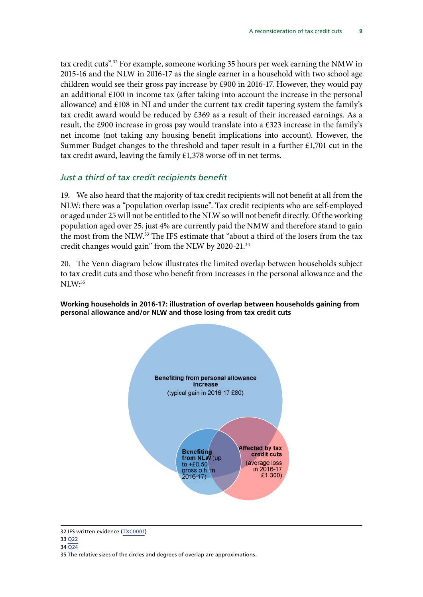tax credit cuts".32 For example, someone working 35 hours per week earning the NMW in 2015-16 and the NLW in 2016-17 as the single earner in a household with two school age children would see their gross pay increase by £900 in 2016-17. However, they would pay an additional £100 in income tax (after taking into account the increase in the personal allowance) and £108 in NI and under the current tax credit tapering system the family's tax credit award would be reduced by £369 as a result of their increased earnings. As a result, the £900 increase in gross pay would translate into a £323 increase in the family's net income (not taking any housing benefit implications into account). However, the Summer Budget changes to the threshold and taper result in a further £1,701 cut in the tax credit award, leaving the family £1,378 worse off in net terms.

### *Just a third of tax credit recipients benefit*

19. We also heard that the majority of tax credit recipients will not benefit at all from the NLW: there was a "population overlap issue". Tax credit recipients who are self-employed or aged under 25 will not be entitled to the NLW so will not benefit directly. Of the working population aged over 25, just 4% are currently paid the NMW and therefore stand to gain the most from the NLW.33 The IFS estimate that "about a third of the losers from the tax credit changes would gain" from the NLW by 2020-21.34

20. The Venn diagram below illustrates the limited overlap between households subject to tax credit cuts and those who benefit from increases in the personal allowance and the  $NLM:$ <sup>35</sup>

### **Working households in 2016-17: illustration of overlap between households gaining from personal allowance and/or NLW and those losing from tax credit cuts personal allowance and/or NLW and those losing from tax credit cuts**



<sup>32</sup> IFS written evidence ([TXC0001\)](http://data.parliament.uk/writtenevidence/committeeevidence.svc/evidencedocument/work-and-pensions-committee/tax-credits/written/24051.html)

<sup>33</sup> [Q22](file://hpap03f/DIS_Rdf$/mellowsfacera/Desktop/data.parliament.uk/writtenevidence/committeeevidence.svc/evidencedocument/work-and-pensions-committee/tax-credits/oral/23508.html)

<sup>34</sup> [Q24](file://hpap03f/DIS_Rdf$/mellowsfacera/Desktop/data.parliament.uk/writtenevidence/committeeevidence.svc/evidencedocument/work-and-pensions-committee/tax-credits/oral/23508.html)

<sup>35</sup> The relative sizes of the circles and degrees of overlap are approximations.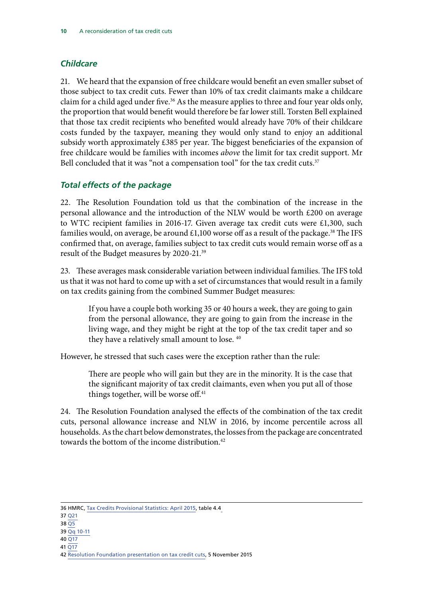### <span id="page-11-0"></span>*Childcare*

21. We heard that the expansion of free childcare would benefit an even smaller subset of those subject to tax credit cuts. Fewer than 10% of tax credit claimants make a childcare claim for a child aged under five.<sup>36</sup> As the measure applies to three and four year olds only, the proportion that would benefit would therefore be far lower still. Torsten Bell explained that those tax credit recipients who benefited would already have 70% of their childcare costs funded by the taxpayer, meaning they would only stand to enjoy an additional subsidy worth approximately £385 per year. The biggest beneficiaries of the expansion of free childcare would be families with incomes *above* the limit for tax credit support. Mr Bell concluded that it was "not a compensation tool" for the tax credit cuts.<sup>37</sup>

### *Total effects of the package*

22. The Resolution Foundation told us that the combination of the increase in the personal allowance and the introduction of the NLW would be worth £200 on average to WTC recipient families in 2016-17. Given average tax credit cuts were £1,300, such families would, on average, be around  $£1,100$  worse off as a result of the package.<sup>38</sup> The IFS confirmed that, on average, families subject to tax credit cuts would remain worse off as a result of the Budget measures by 2020-21.39

23. These averages mask considerable variation between individual families. The IFS told us that it was not hard to come up with a set of circumstances that would result in a family on tax credits gaining from the combined Summer Budget measures:

If you have a couple both working 35 or 40 hours a week, they are going to gain from the personal allowance, they are going to gain from the increase in the living wage, and they might be right at the top of the tax credit taper and so they have a relatively small amount to lose.<sup>40</sup>

However, he stressed that such cases were the exception rather than the rule:

There are people who will gain but they are in the minority. It is the case that the significant majority of tax credit claimants, even when you put all of those things together, will be worse off. $41$ 

24. The Resolution Foundation analysed the effects of the combination of the tax credit cuts, personal allowance increase and NLW in 2016, by income percentile across all households. As the chart below demonstrates, the losses from the package are concentrated towards the bottom of the income distribution.<sup>42</sup>

- 38 [Q5](file://hpap03f/DIS_Rdf$/mellowsfacera/Desktop/data.parliament.uk/writtenevidence/committeeevidence.svc/evidencedocument/work-and-pensions-committee/tax-credits/oral/23508.html)
- $39$  [Qq 10-11](file://hpap03f/DIS_Rdf$/mellowsfacera/Desktop/data.parliament.uk/writtenevidence/committeeevidence.svc/evidencedocument/work-and-pensions-committee/tax-credits/oral/23508.html) 40 [Q17](file://hpap03f/DIS_Rdf$/mellowsfacera/Desktop/data.parliament.uk/writtenevidence/committeeevidence.svc/evidencedocument/work-and-pensions-committee/tax-credits/oral/23508.html)
- 41 [Q17](file://hpap03f/DIS_Rdf$/mellowsfacera/Desktop/data.parliament.uk/writtenevidence/committeeevidence.svc/evidencedocument/work-and-pensions-committee/tax-credits/oral/23508.html)

<sup>36</sup> HMRC, [Tax Credits Provisional Statistics: April 2015, table 4.4](https://www.gov.uk/government/statistics/personal-tax-credits-provisional-statistics-2013-to-2009)

<sup>37</sup> [Q21](file://hpap03f/DIS_Rdf$/mellowsfacera/Desktop/data.parliament.uk/writtenevidence/committeeevidence.svc/evidencedocument/work-and-pensions-committee/tax-credits/oral/23508.html)

<sup>42</sup> [Resolution Foundation presentation on tax credit cuts,](http://www.slideshare.net/ResolutionFoundation/resolution-foundation-tax-credit-cuts-presentation) 5 November 2015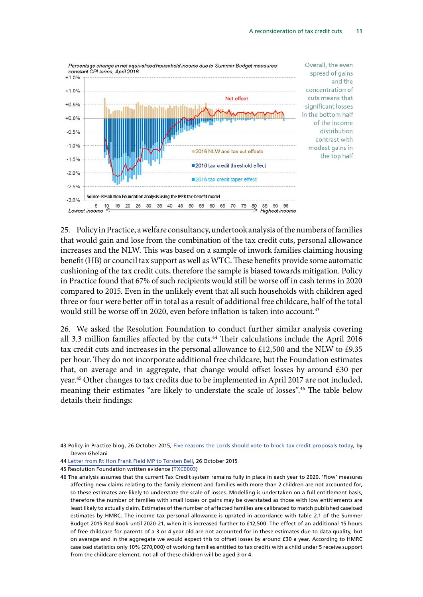

25. Policy in Practice, a welfare consultancy, undertook analysis of the numbers of families that would gain and lose from the combination of the tax credit cuts, personal allowance increases and the NLW. This was based on a sample of inwork families claiming housing benefit (HB) or council tax support as well as WTC. These benefits provide some automatic cushioning of the tax credit cuts, therefore the sample is biased towards mitigation. Policy in Practice found that 67% of such recipients would still be worse off in cash terms in 2020 compared to 2015. Even in the unlikely event that all such households with children aged three or four were better off in total as a result of additional free childcare, half of the total would still be worse off in 2020, even before inflation is taken into account.<sup>43</sup>

26. We asked the Resolution Foundation to conduct further similar analysis covering all 3.3 million families affected by the cuts.<sup>44</sup> Their calculations include the April 2016 tax credit cuts and increases in the personal allowance to £12,500 and the NLW to £9.35 per hour. They do not incorporate additional free childcare, but the Foundation estimates that, on average and in aggregate, that change would offset losses by around £30 per year.45 Other changes to tax credits due to be implemented in April 2017 are not included, meaning their estimates "are likely to understate the scale of losses".<sup>46</sup> The table below details their findings:

<sup>43</sup> Policy in Practice blog, 26 October 2015, [Five reasons the Lords should vote to block tax credit proposals today](http://policyinpractice.co.uk/five-reasons-the-lords-should-vote-to-block-tax-credit-proposals-today/), by Deven Ghelani

<sup>44</sup> [Letter from Rt Hon Frank Field MP to Torsten Bell,](http://www.parliament.uk/business/committees/committees-a-z/commons-select/work-and-pensions-committee/inquiries/parliament-2015/tax-credits-15-16/publications/n) 26 October 2015

<sup>45</sup> Resolution Foundation written evidence [\(TXC0003](http://www.parliament.uk/business/committees/committees-a-z/commons-select/work-and-pensions-committee/inquiries/parliament-2015/tax-credits-15-16/publications/))

<sup>46</sup> The analysis assumes that the current Tax Credit system remains fully in place in each year to 2020. 'Flow' measures affecting new claims relating to the family element and families with more than 2 children are not accounted for, so these estimates are likely to understate the scale of losses. Modelling is undertaken on a full entitlement basis, therefore the number of families with small losses or gains may be overstated as those with low entitlements are least likely to actually claim. Estimates of the number of affected families are calibrated to match published caseload estimates by HMRC. The income tax personal allowance is uprated in accordance with table 2.1 of the Summer Budget 2015 Red Book until 2020-21, when it is increased further to £12,500. The effect of an additional 15 hours of free childcare for parents of a 3 or 4 year old are not accounted for in these estimates due to data quality, but on average and in the aggregate we would expect this to offset losses by around £30 a year. According to HMRC caseload statistics only 10% (270,000) of working families entitled to tax credits with a child under 5 receive support from the childcare element, not all of these children will be aged 3 or 4.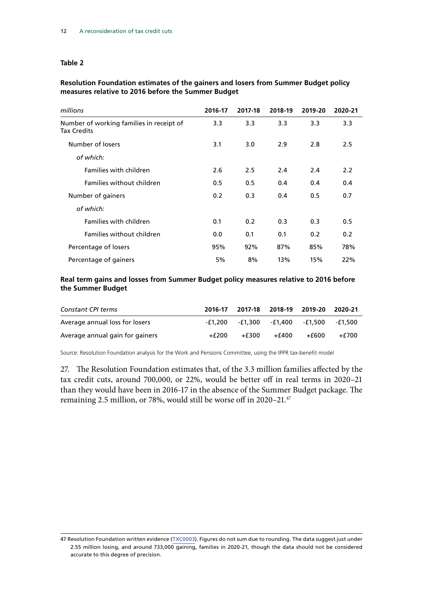### **Table 2**

### **Resolution Foundation estimates of the gainers and losers from Summer Budget policy measures relative to 2016 before the Summer Budget**

| millions                                                       | 2016-17          | 2017-18 | 2018-19 | 2019-20 | 2020-21 |
|----------------------------------------------------------------|------------------|---------|---------|---------|---------|
| Number of working families in receipt of<br><b>Tax Credits</b> | 3.3 <sub>1</sub> | 3.3     | 3.3     | 3.3     | 3.3     |
| Number of losers                                               | 3.1              | 3.0     | 2.9     | 2.8     | 2.5     |
| of which:                                                      |                  |         |         |         |         |
| Families with children                                         | 2.6              | 2.5     | 2.4     | 2.4     | 2.2     |
| <b>Families without children</b>                               | 0.5              | 0.5     | 0.4     | 0.4     | 0.4     |
| Number of gainers                                              | 0.2              | 0.3     | 0.4     | 0.5     | 0.7     |
| of which:                                                      |                  |         |         |         |         |
| Families with children                                         | 0.1              | 0.2     | 0.3     | 0.3     | 0.5     |
| <b>Families without children</b>                               | 0.0              | 0.1     | 0.1     | 0.2     | 0.2     |
| Percentage of losers                                           | 95%              | 92%     | 87%     | 85%     | 78%     |
| Percentage of gainers                                          | 5%               | 8%      | 13%     | 15%     | 22%     |

### **Real term gains and losses from Summer Budget policy measures relative to 2016 before the Summer Budget**

| Constant CPI terms              | 2016-17 |       | 2017-18 2018-19 2019-20 |                                         | 2020-21 |
|---------------------------------|---------|-------|-------------------------|-----------------------------------------|---------|
| Average annual loss for losers  |         |       |                         | -£1,200 -£1,300 -£1,400 -£1,500 -£1,500 |         |
| Average annual gain for gainers | +£200   | +£300 | +£400                   | +£600                                   | +£700   |

Source: Resolution Foundation analysis for the Work and Pensions Committee, using the IPPR tax-benefit model

27. The Resolution Foundation estimates that, of the 3.3 million families affected by the tax credit cuts, around 700,000, or 22%, would be better off in real terms in 2020–21 than they would have been in 2016-17 in the absence of the Summer Budget package. The remaining 2.5 million, or 78%, would still be worse off in 2020–21.47

<sup>47</sup> Resolution Foundation written evidence ([TXC000](http://www.parliament.uk/business/committees/committees-a-z/commons-select/work-and-pensions-committee/inquiries/parliament-2015/tax-credits-15-16/publications/)3). Figures do not sum due to rounding. The data suggest just under 2.55 million losing, and around 733,000 gaining, families in 2020-21, though the data should not be considered accurate to this degree of precision.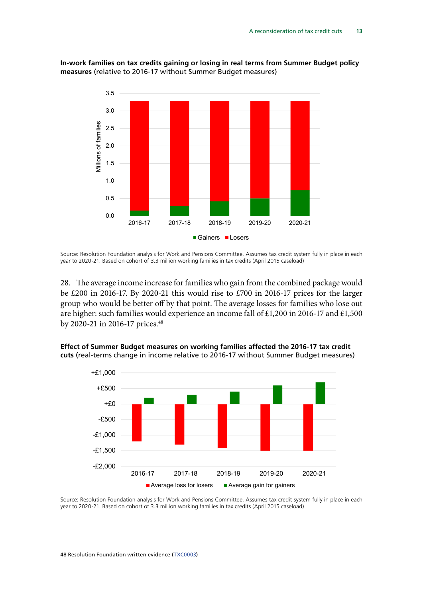### **In-work families on tax credits gaining or losing in real terms from Summer Budget policy In-work families on tax credits gaining or losing in real terms measures** (relative to 2016-17 without Summer Budget measures) with Summer Budget measures)



Source: Resolution Foundation analysis for Work and Pensions Committee. Assumes tax credit Source: Resolution Foundation analysis for Work and Pensions Committee. Assumes tax credit system fully in place in each system function function function function  $\frac{1}{2}$ . Based on computation families in the condition  $\frac{1}{2}$ . Based on colored  $\frac{1}{2}$ . year to 2020-21. Based on cohort of 3.3 million working families in tax credits (April 2015 caseload)<br>'

28. The average income increase for families who gain from the combined package would be £200 in 2016-17. By 2020-21 this would rise to £700 in 2016-17 prices for the larger group who would be better off by that point. The average losses for families who lose out are higher: such families would experience an income fall of £1,200 in 2016-17 and £1,500 by 2020-21 in 2016-17 prices.<sup>48</sup>



**Effect of Summer Budget measures on working families affected the 2016-17 tax credit Effect of Summer Budget measures on working families**  cuts (real-terms change in income relative to 2016-17 without Summer Budget measures)

Source: Resolution Foundation analysis for Work and Pensions Committee. Assumes tax credit Source: Resolution Foundation analysis for Work and Pensions Committee. Assumes tax credit system fully in place in each system fully in the fully in the international commutation  $\frac{1}{2}$ . Based on cohort of 3.3 million working families in the credit (April 2015 caselead). year to 2020-21. Based on cohort of 3.3 million working families in tax credits (April 2015 caseload)<br>'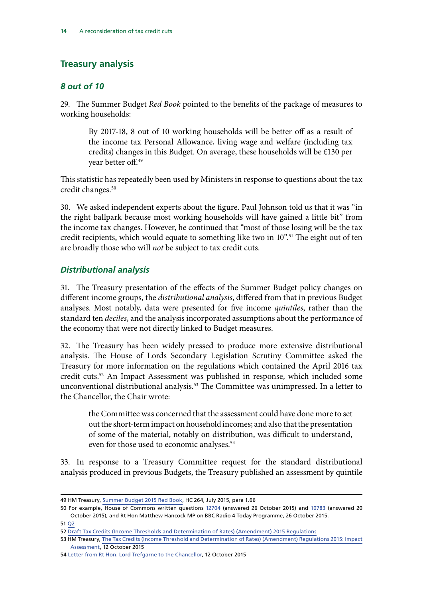### <span id="page-15-0"></span>**Treasury analysis**

### *8 out of 10*

29. The Summer Budget *Red Book* pointed to the benefits of the package of measures to working households:

By 2017-18, 8 out of 10 working households will be better off as a result of the income tax Personal Allowance, living wage and welfare (including tax credits) changes in this Budget. On average, these households will be £130 per year better off.49

This statistic has repeatedly been used by Ministers in response to questions about the tax credit changes.<sup>50</sup>

30. We asked independent experts about the figure. Paul Johnson told us that it was "in the right ballpark because most working households will have gained a little bit" from the income tax changes. However, he continued that "most of those losing will be the tax credit recipients, which would equate to something like two in 10".<sup>51</sup> The eight out of ten are broadly those who will *not* be subject to tax credit cuts.

### *Distributional analysis*

31. The Treasury presentation of the effects of the Summer Budget policy changes on different income groups, the *distributional analysis*, differed from that in previous Budget analyses. Most notably, data were presented for five income *quintiles*, rather than the standard ten *deciles*, and the analysis incorporated assumptions about the performance of the economy that were not directly linked to Budget measures.

32. The Treasury has been widely pressed to produce more extensive distributional analysis. The House of Lords Secondary Legislation Scrutiny Committee asked the Treasury for more information on the regulations which contained the April 2016 tax credit cuts.52 An Impact Assessment was published in response, which included some unconventional distributional analysis.<sup>53</sup> The Committee was unimpressed. In a letter to the Chancellor, the Chair wrote:

the Committee was concerned that the assessment could have done more to set out the short-term impact on household incomes; and also that the presentation of some of the material, notably on distribution, was difficult to understand, even for those used to economic analyses.<sup>54</sup>

33. In response to a Treasury Committee request for the standard distributional analysis produced in previous Budgets, the Treasury published an assessment by quintile

<sup>49</sup> HM Treasury, [Summer Budget 2015 Red Book,](https://www.gov.uk/government/uploads/system/uploads/attachment_data/file/443232/50325_Summer_Budget_15_Web_Accessible.pdf) HC 264, July 2015, para 1.66

<sup>50</sup> For example, House of Commons written questions [12704](http://www.parliament.uk/business/publications/written-questions-answers-statements/written-question/Commons/2015-10-20/12704) (answered 26 October 2015) and [10783](http://www.parliament.uk/business/publications/written-questions-answers-statements/written-question/Commons/2015-10-09/10783) (answered 20 October 2015), and Rt Hon Matthew Hancock MP on BBC Radio 4 Today Programme, 26 October 2015.

<sup>51</sup> [Q2](file://hpap03f/DIS_Rdf$/mellowsfacera/Desktop/data.parliament.uk/writtenevidence/committeeevidence.svc/evidencedocument/work-and-pensions-committee/tax-credits/oral/23508.html)

<sup>52</sup> [Draft Tax Credits \(Income Thresholds and Determination of Rates\) \(Amendment\) 2015 Regulations](http://www.legislation.gov.uk/ukdsi/2015/9780111138946)

<sup>53</sup> HM Treasury, [The Tax Credits \(Income Threshold and Determination of Rates\) \(Amendment\) Regulations 2015: Impact](http://www.parliament.uk/documents/lords-committees/Secondary-Legislation-Scrutiny-Committee/DraftTaxCreditsRegs2015-ImpactAssessment.pdf) [Assessment,](http://www.parliament.uk/documents/lords-committees/Secondary-Legislation-Scrutiny-Committee/DraftTaxCreditsRegs2015-ImpactAssessment.pdf) 12 October 2015

<sup>54</sup> Letter from Rt Hon. Lord [Trefgarne to the Chancellor](http://www.publications.parliament.uk/pa/ld201516/ldselect/ldsecleg/38/3806.htm), 12 October 2015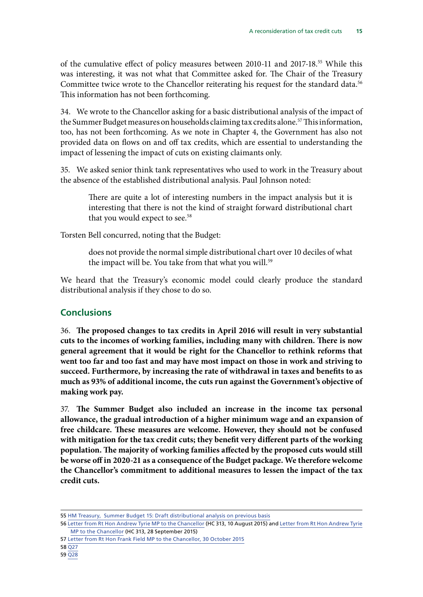<span id="page-16-0"></span>of the cumulative effect of policy measures between 2010-11 and 2017-18.55 While this was interesting, it was not what that Committee asked for. The Chair of the Treasury Committee twice wrote to the Chancellor reiterating his request for the standard data.<sup>56</sup> This information has not been forthcoming.

34. We wrote to the Chancellor asking for a basic distributional analysis of the impact of the Summer Budget measures on households claiming tax credits alone.<sup>57</sup> This information, too, has not been forthcoming. As we note in Chapter 4, the Government has also not provided data on flows on and off tax credits, which are essential to understanding the impact of lessening the impact of cuts on existing claimants only.

35. We asked senior think tank representatives who used to work in the Treasury about the absence of the established distributional analysis. Paul Johnson noted:

There are quite a lot of interesting numbers in the impact analysis but it is interesting that there is not the kind of straight forward distributional chart that you would expect to see.<sup>58</sup>

Torsten Bell concurred, noting that the Budget:

does not provide the normal simple distributional chart over 10 deciles of what the impact will be. You take from that what you will.<sup>59</sup>

We heard that the Treasury's economic model could clearly produce the standard distributional analysis if they chose to do so.

### **Conclusions**

36. **The proposed changes to tax credits in April 2016 will result in very substantial cuts to the incomes of working families, including many with children. There is now general agreement that it would be right for the Chancellor to rethink reforms that went too far and too fast and may have most impact on those in work and striving to succeed. Furthermore, by increasing the rate of withdrawal in taxes and benefits to as much as 93% of additional income, the cuts run against the Government's objective of making work pay.**

37. **The Summer Budget also included an increase in the income tax personal allowance, the gradual introduction of a higher minimum wage and an expansion of free childcare. These measures are welcome. However, they should not be confused with mitigation for the tax credit cuts; they benefit very different parts of the working population. The majority of working families affected by the proposed cuts would still be worse off in 2020-21 as a consequence of the Budget package. We therefore welcome the Chancellor's commitment to additional measures to lessen the impact of the tax credit cuts.**

<sup>55</sup> [HM Treasury, Summer Budget 15: Draft distributional analysis on previous basis](https://www.gov.uk/government/publications/summer-budget-15-draft-distributional-analysis-on-previous-basis)

<sup>56</sup> [Letter from Rt Hon Andrew Tyrie MP to the Chancellor](http://www.parliament.uk/documents/commons-committees/treasury/150810%20-%20Chair%20to%20George%20Osborne%20MP%20-%20Summer%20Budget%202015.pdf) (HC 313, 10 August 2015) and [Letter from Rt Hon Andrew Tyrie](http://www.parliament.uk/documents/commons-committees/treasury/150928%20Chair%20to%20Chancellor%20-%20Distributional%20Analysis.pdf) [MP to the Chancellor](http://www.parliament.uk/documents/commons-committees/treasury/150928%20Chair%20to%20Chancellor%20-%20Distributional%20Analysis.pdf) (HC 313, 28 September 2015)

<sup>57</sup> [Letter from Rt Hon Frank Field MP to the Chancellor, 30 October 2015](http://www.parliament.uk/documents/commons-committees/work-and-pensions/Correspondence/Letter-to-George-Osborne-regarding-tax-credit-reforms-analysis.pdf)

<sup>58</sup> [Q27](file://hpap03f/DIS_Rdf$/mellowsfacera/Desktop/data.parliament.uk/writtenevidence/committeeevidence.svc/evidencedocument/work-and-pensions-committee/tax-credits/oral/23508.html)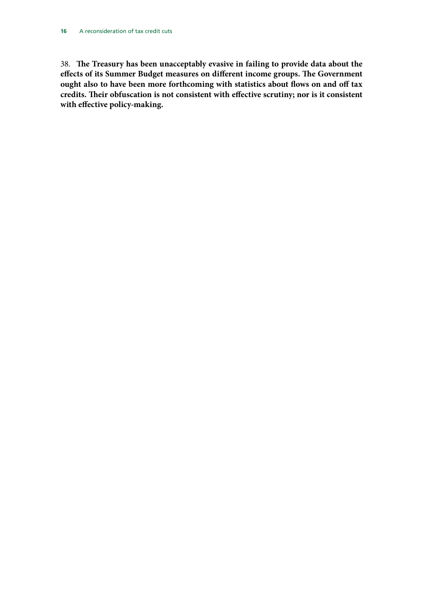38. **The Treasury has been unacceptably evasive in failing to provide data about the effects of its Summer Budget measures on different income groups. The Government ought also to have been more forthcoming with statistics about flows on and off tax credits. Their obfuscation is not consistent with effective scrutiny; nor is it consistent with effective policy-making.**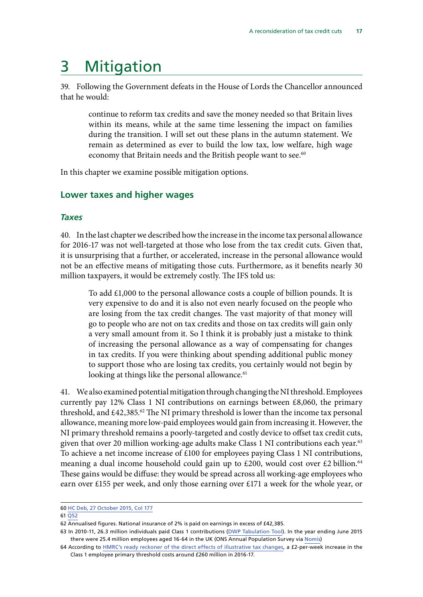# <span id="page-18-0"></span>3 Mitigation

39. Following the Government defeats in the House of Lords the Chancellor announced that he would:

continue to reform tax credits and save the money needed so that Britain lives within its means, while at the same time lessening the impact on families during the transition. I will set out these plans in the autumn statement. We remain as determined as ever to build the low tax, low welfare, high wage economy that Britain needs and the British people want to see.<sup>60</sup>

In this chapter we examine possible mitigation options.

### **Lower taxes and higher wages**

### *Taxes*

40. In the last chapter we described how the increase in the income tax personal allowance for 2016-17 was not well-targeted at those who lose from the tax credit cuts. Given that, it is unsurprising that a further, or accelerated, increase in the personal allowance would not be an effective means of mitigating those cuts. Furthermore, as it benefits nearly 30 million taxpayers, it would be extremely costly. The IFS told us:

To add £1,000 to the personal allowance costs a couple of billion pounds. It is very expensive to do and it is also not even nearly focused on the people who are losing from the tax credit changes. The vast majority of that money will go to people who are not on tax credits and those on tax credits will gain only a very small amount from it. So I think it is probably just a mistake to think of increasing the personal allowance as a way of compensating for changes in tax credits. If you were thinking about spending additional public money to support those who are losing tax credits, you certainly would not begin by looking at things like the personal allowance.<sup>61</sup>

41. We also examined potential mitigation through changing the NI threshold. Employees currently pay 12% Class 1 NI contributions on earnings between  $£8,060$ , the primary threshold, and  $£42,385.62$  The NI primary threshold is lower than the income tax personal allowance, meaning more low-paid employees would gain from increasing it. However, the NI primary threshold remains a poorly-targeted and costly device to offset tax credit cuts, given that over 20 million working-age adults make Class 1 NI contributions each year.<sup>63</sup> To achieve a net income increase of £100 for employees paying Class 1 NI contributions, meaning a dual income household could gain up to £200, would cost over £2 billion.<sup>64</sup> These gains would be diffuse: they would be spread across all working-age employees who earn over £155 per week, and only those earning over £171 a week for the whole year, or

### 61 [Q52](file://hpap03f/DIS_Rdf$/mellowsfacera/Desktop/data.parliament.uk/writtenevidence/committeeevidence.svc/evidencedocument/work-and-pensions-committee/tax-credits/oral/23508.html)

<sup>60</sup> [HC Deb, 27 October 2015, Col 177](http://www.publications.parliament.uk/pa/cm201516/cmhansrd/cm151027/debtext/151027-0001.htm)

<sup>62</sup> Annualised figures. National insurance of 2% is paid on earnings in excess of £42,385.

<sup>63</sup> In 2010-11, 26.3 million individuals paid Class 1 contributions [\(DWP Tabulation Tool\)](https://www.gov.uk/government/collections/dwp-statistics-tabulation-tool). In the year ending June 2015 there were 25.4 million employees aged 16-64 in the UK (ONS Annual Population Survey via [Nomis\)](https://www.nomisweb.co.uk/)

<sup>64</sup> According to [HMRC's ready reckoner of the direct effects of illustrative tax changes,](https://www.gov.uk/government/uploads/system/uploads/attachment_data/file/442579/Jul15_effectsIllustrativechanges_bulletin_Final.pdf) a £2-per-week increase in the Class 1 employee primary threshold costs around £260 million in 2016-17.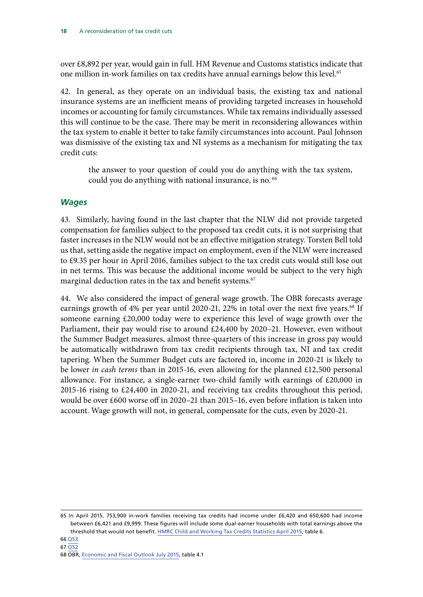<span id="page-19-0"></span>over £8,892 per year, would gain in full. HM Revenue and Customs statistics indicate that one million in-work families on tax credits have annual earnings below this level.<sup>65</sup>

42. In general, as they operate on an individual basis, the existing tax and national insurance systems are an inefficient means of providing targeted increases in household incomes or accounting for family circumstances. While tax remains individually assessed this will continue to be the case. There may be merit in reconsidering allowances within the tax system to enable it better to take family circumstances into account. Paul Johnson was dismissive of the existing tax and NI systems as a mechanism for mitigating the tax credit cuts:

the answer to your question of could you do anything with the tax system, could you do anything with national insurance, is no.<sup>66</sup>

### *Wages*

43. Similarly, having found in the last chapter that the NLW did not provide targeted compensation for families subject to the proposed tax credit cuts, it is not surprising that faster increases in the NLW would not be an effective mitigation strategy. Torsten Bell told us that, setting aside the negative impact on employment, even if the NLW were increased to £9.35 per hour in April 2016, families subject to the tax credit cuts would still lose out in net terms. This was because the additional income would be subject to the very high marginal deduction rates in the tax and benefit systems.<sup>67</sup>

44. We also considered the impact of general wage growth. The OBR forecasts average earnings growth of 4% per year until 2020-21, 22% in total over the next five years.<sup>68</sup> If someone earning £20,000 today were to experience this level of wage growth over the Parliament, their pay would rise to around £24,400 by 2020–21. However, even without the Summer Budget measures, almost three-quarters of this increase in gross pay would be automatically withdrawn from tax credit recipients through tax, NI and tax credit tapering. When the Summer Budget cuts are factored in, income in 2020-21 is likely to be lower *in cash terms* than in 2015-16, even allowing for the planned £12,500 personal allowance. For instance, a single-earner two-child family with earnings of £20,000 in 2015-16 rising to £24,400 in 2020-21, and receiving tax credits throughout this period, would be over £600 worse off in 2020–21 than 2015–16, even before inflation is taken into account. Wage growth will not, in general, compensate for the cuts, even by 2020-21.

<sup>65</sup> In April 2015, 753,900 in-work families receiving tax credits had income under £6,420 and 650,600 had income between £6,421 and £9,999. These figures will include some dual-earner households with total earnings above the threshold that would not benefit. [HMRC Child and Working Tax Credits Statistics April 2015](https://www.gov.uk/government/statistics/personal-tax-credits-provisional-statistics-2013-to-2009), table 6.

<sup>68</sup> OBR, [Economic and Fiscal Outlook July 2015](http://budgetresponsibility.org.uk/economic-fiscal-outlook-july-2015/), table 4.1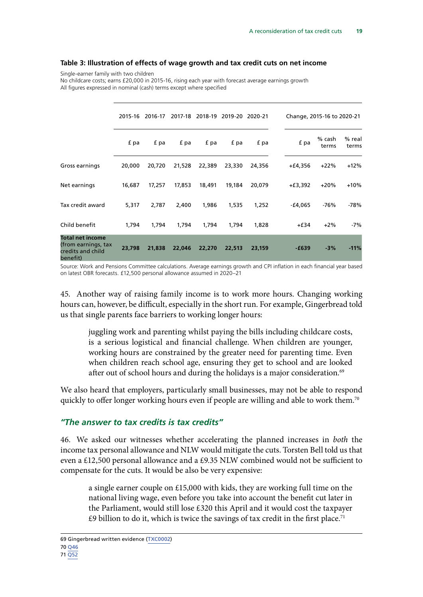### <span id="page-20-0"></span>**Table 3: Illustration of effects of wage growth and tax credit cuts on net income**

Single-earner family with two children

No childcare costs; earns £20,000 in 2015-16, rising each year with forecast average earnings growth All figures expressed in nominal (cash) terms except where specified

|                                                                                 | 2015-16 | 2016-17 | 2017-18 | 2018-19 | 2019-20 2020-21 |        |           | Change, 2015-16 to 2020-21 |                 |
|---------------------------------------------------------------------------------|---------|---------|---------|---------|-----------------|--------|-----------|----------------------------|-----------------|
|                                                                                 | f pa    | f pa    | f pa    | f pa    | f pa            | f pa   | f pa      | % cash<br>terms            | % real<br>terms |
| Gross earnings                                                                  | 20,000  | 20,720  | 21,528  | 22,389  | 23,330          | 24,356 | $+£4,356$ | $+22%$                     | $+12%$          |
| Net earnings                                                                    | 16,687  | 17,257  | 17,853  | 18,491  | 19,184          | 20,079 | $+£3,392$ | $+20%$                     | $+10%$          |
| Tax credit award                                                                | 5,317   | 2,787   | 2,400   | 1,986   | 1,535           | 1,252  | -£4,065   | $-76%$                     | -78%            |
| Child benefit                                                                   | 1,794   | 1,794   | 1,794   | 1,794   | 1,794           | 1,828  | $+£34$    | $+2%$                      | -7%             |
| <b>Total net income</b><br>(from earnings, tax<br>credits and child<br>benefit) | 23,798  | 21,838  | 22,046  | 22,270  | 22,513          | 23,159 | $-£639$   | $-3%$                      | $-11%$          |

Source: Work and Pensions Committee calculations. Average earnings growth and CPI inflation in each financial year based on latest OBR forecasts. £12,500 personal allowance assumed in 2020–21

45. Another way of raising family income is to work more hours. Changing working hours can, however, be difficult, especially in the short run. For example, Gingerbread told us that single parents face barriers to working longer hours:

juggling work and parenting whilst paying the bills including childcare costs, is a serious logistical and financial challenge. When children are younger, working hours are constrained by the greater need for parenting time. Even when children reach school age, ensuring they get to school and are looked after out of school hours and during the holidays is a major consideration.<sup>69</sup>

We also heard that employers, particularly small businesses, may not be able to respond quickly to offer longer working hours even if people are willing and able to work them.<sup>70</sup>

### *"The answer to tax credits is tax credits"*

46. We asked our witnesses whether accelerating the planned increases in *both* the income tax personal allowance and NLW would mitigate the cuts. Torsten Bell told us that even a £12,500 personal allowance and a £9.35 NLW combined would not be sufficient to compensate for the cuts. It would be also be very expensive:

a single earner couple on £15,000 with kids, they are working full time on the national living wage, even before you take into account the benefit cut later in the Parliament, would still lose £320 this April and it would cost the taxpayer  $£9$  billion to do it, which is twice the savings of tax credit in the first place.<sup>71</sup>

69 Gingerbread written evidence ([TXC0002](http://www.parliament.uk/business/committees/committees-a-z/commons-select/work-and-pensions-committee/inquiries/parliament-2015/tax-credits-15-16/publications/n))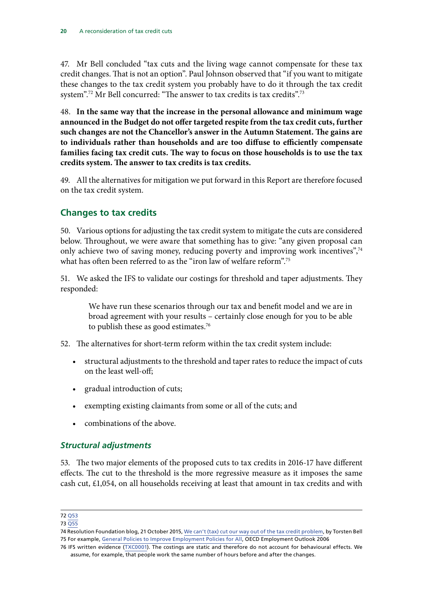<span id="page-21-0"></span>47. Mr Bell concluded "tax cuts and the living wage cannot compensate for these tax credit changes. That is not an option". Paul Johnson observed that "if you want to mitigate these changes to the tax credit system you probably have to do it through the tax credit system".<sup>72</sup> Mr Bell concurred: "The answer to tax credits is tax credits".<sup>73</sup>

48. **In the same way that the increase in the personal allowance and minimum wage announced in the Budget do not offer targeted respite from the tax credit cuts, further such changes are not the Chancellor's answer in the Autumn Statement. The gains are to individuals rather than households and are too diffuse to efficiently compensate families facing tax credit cuts. The way to focus on those households is to use the tax credits system. The answer to tax credits is tax credits.**

49. All the alternatives for mitigation we put forward in this Report are therefore focused on the tax credit system.

### **Changes to tax credits**

50. Various options for adjusting the tax credit system to mitigate the cuts are considered below. Throughout, we were aware that something has to give: "any given proposal can only achieve two of saving money, reducing poverty and improving work incentives",<sup>74</sup> what has often been referred to as the "iron law of welfare reform".<sup>75</sup>

51. We asked the IFS to validate our costings for threshold and taper adjustments. They responded:

We have run these scenarios through our tax and benefit model and we are in broad agreement with your results – certainly close enough for you to be able to publish these as good estimates.<sup>76</sup>

- 52. The alternatives for short-term reform within the tax credit system include:
	- structural adjustments to the threshold and taper rates to reduce the impact of cuts on the least well-off;
	- gradual introduction of cuts;
	- exempting existing claimants from some or all of the cuts; and
	- combinations of the above.

### *Structural adjustments*

53. The two major elements of the proposed cuts to tax credits in 2016-17 have different effects. The cut to the threshold is the more regressive measure as it imposes the same cash cut, £1,054, on all households receiving at least that amount in tax credits and with

<sup>72</sup> [Q53](file://hpap03f/DIS_Rdf$/mellowsfacera/Desktop/data.parliament.uk/writtenevidence/committeeevidence.svc/evidencedocument/work-and-pensions-committee/tax-credits/oral/23508.html)

<sup>73</sup> [Q55](file://hpap03f/DIS_Rdf$/mellowsfacera/Desktop/data.parliament.uk/writtenevidence/committeeevidence.svc/evidencedocument/work-and-pensions-committee/tax-credits/oral/23508.html)

<sup>74</sup> Resolution Foundation blog, 21 October 2015, [We can't \(tax\) cut our way out of the tax credit problem,](http://www.resolutionfoundation.org/media/blog/we-cant-tax-cut-our-way-out-of-the-tax-credit-problem/) by Torsten Bell 75 For example, [General Policies to Improve Employment Policies for All,](http://www.oecd.org/employment/emp/38569396.pdf) OECD Employment Outlook 2006

<sup>76</sup> IFS written evidence ([TXC0001\)](http://data.parliament.uk/writtenevidence/committeeevidence.svc/evidencedocument/work-and-pensions-committee/tax-credits/written/24051.html). The costings are static and therefore do not account for behavioural effects. We assume, for example, that people work the same number of hours before and after the changes.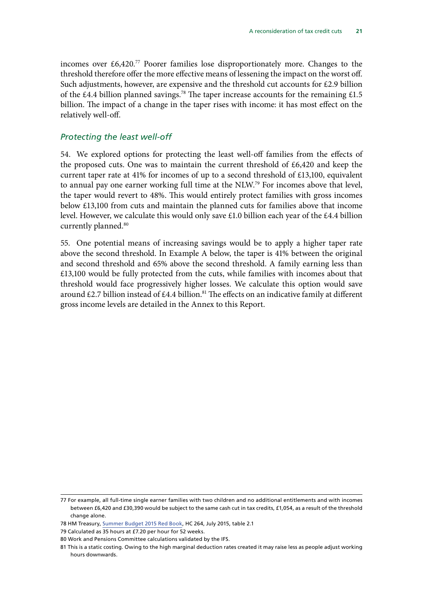incomes over  $\text{\pounds}6,420$ .<sup>77</sup> Poorer families lose disproportionately more. Changes to the threshold therefore offer the more effective means of lessening the impact on the worst off. Such adjustments, however, are expensive and the threshold cut accounts for £2.9 billion of the £4.4 billion planned savings.<sup>78</sup> The taper increase accounts for the remaining £1.5 billion. The impact of a change in the taper rises with income: it has most effect on the relatively well-off.

### *Protecting the least well-off*

54. We explored options for protecting the least well-off families from the effects of the proposed cuts. One was to maintain the current threshold of £6,420 and keep the current taper rate at 41% for incomes of up to a second threshold of £13,100, equivalent to annual pay one earner working full time at the NLW.79 For incomes above that level, the taper would revert to 48%. This would entirely protect families with gross incomes below £13,100 from cuts and maintain the planned cuts for families above that income level. However, we calculate this would only save £1.0 billion each year of the £4.4 billion currently planned.<sup>80</sup>

55. One potential means of increasing savings would be to apply a higher taper rate above the second threshold. In Example A below, the taper is 41% between the original and second threshold and 65% above the second threshold. A family earning less than £13,100 would be fully protected from the cuts, while families with incomes about that threshold would face progressively higher losses. We calculate this option would save around £2.7 billion instead of £4.4 billion.<sup>81</sup> The effects on an indicative family at different gross income levels are detailed in the Annex to this Report.

<sup>77</sup> For example, all full-time single earner families with two children and no additional entitlements and with incomes between £6,420 and £30,390 would be subject to the same cash cut in tax credits, £1,054, as a result of the threshold change alone.

<sup>78</sup> HM Treasury, [Summer Budget 2015 Red Book,](https://www.gov.uk/government/uploads/system/uploads/attachment_data/file/443232/50325_Summer_Budget_15_Web_Accessible.pdf) HC 264, July 2015, table 2.1

<sup>79</sup> Calculated as 35 hours at £7.20 per hour for 52 weeks.

<sup>80</sup> Work and Pensions Committee calculations validated by the IFS.

<sup>81</sup> This is a static costing. Owing to the high marginal deduction rates created it may raise less as people adjust working hours downwards.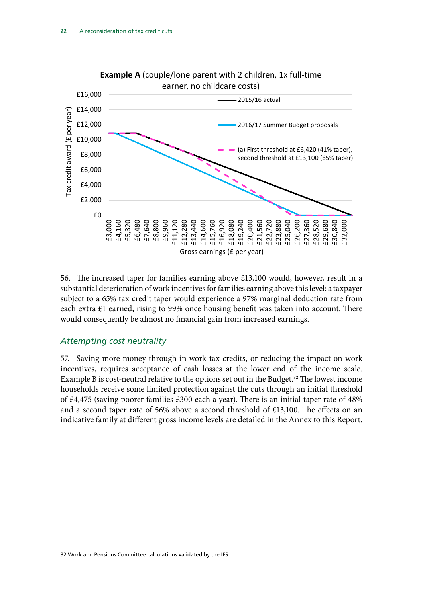

56. The increased taper for families earning above £13,100 would, however, result in a substantial deterioration of work incentives for families earning above this level: a taxpayer subject to a 65% tax credit taper would experience a 97% marginal deduction rate from each extra £1 earned, rising to 99% once housing benefit was taken into account. There would consequently be almost no financial gain from increased earnings.

### *Attempting cost neutrality*

57. Saving more money through in-work tax credits, or reducing the impact on work incentives, requires acceptance of cash losses at the lower end of the income scale. Example B is cost-neutral relative to the options set out in the Budget.<sup>82</sup> The lowest income households receive some limited protection against the cuts through an initial threshold of £4,475 (saving poorer families £300 each a year). There is an initial taper rate of 48% and a second taper rate of 56% above a second threshold of £13,100. The effects on an indicative family at different gross income levels are detailed in the Annex to this Report.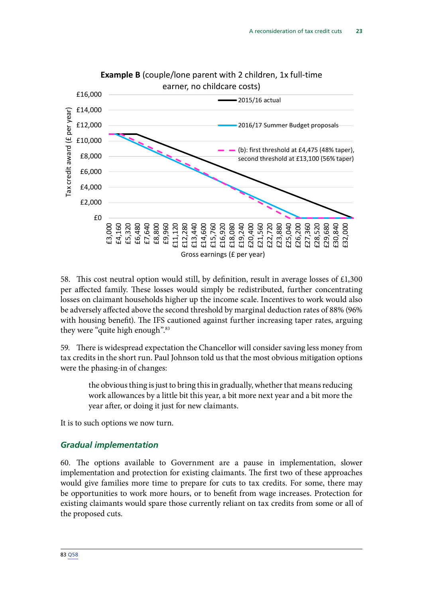<span id="page-24-0"></span>

58. This cost neutral option would still, by definition, result in average losses of £1,300 per affected family. These losses would simply be redistributed, further concentrating losses on claimant households higher up the income scale. Incentives to work would also be adversely affected above the second threshold by marginal deduction rates of 88% (96% with housing benefit). The IFS cautioned against further increasing taper rates, arguing they were "quite high enough".<sup>83</sup>

59. There is widespread expectation the Chancellor will consider saving less money from tax credits in the short run. Paul Johnson told us that the most obvious mitigation options were the phasing-in of changes:

the obvious thing is just to bring this in gradually, whether that means reducing work allowances by a little bit this year, a bit more next year and a bit more the year after, or doing it just for new claimants.

It is to such options we now turn.

### *Gradual implementation*

60. The options available to Government are a pause in implementation, slower implementation and protection for existing claimants. The first two of these approaches would give families more time to prepare for cuts to tax credits. For some, there may be opportunities to work more hours, or to benefit from wage increases. Protection for existing claimants would spare those currently reliant on tax credits from some or all of the proposed cuts.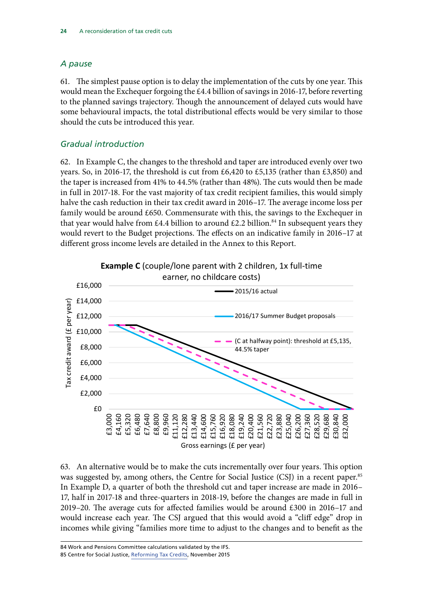### *A pause*

61. The simplest pause option is to delay the implementation of the cuts by one year. This would mean the Exchequer forgoing the  $\text{\pounds}4.4$  billion of savings in 2016-17, before reverting to the planned savings trajectory. Though the announcement of delayed cuts would have some behavioural impacts, the total distributional effects would be very similar to those should the cuts be introduced this year.

### *Gradual introduction*

62. In Example C, the changes to the threshold and taper are introduced evenly over two years. So, in 2016-17, the threshold is cut from £6,420 to £5,135 (rather than £3,850) and the taper is increased from 41% to 44.5% (rather than 48%). The cuts would then be made in full in 2017-18. For the vast majority of tax credit recipient families, this would simply halve the cash reduction in their tax credit award in 2016–17. The average income loss per family would be around £650. Commensurate with this, the savings to the Exchequer in that year would halve from £4.4 billion to around £2.2 billion.<sup>84</sup> In subsequent years they would revert to the Budget projections. The effects on an indicative family in 2016–17 at different gross income levels are detailed in the Annex to this Report.



63. An alternative would be to make the cuts incrementally over four years. This option was suggested by, among others, the Centre for Social Justice (CSJ) in a recent paper.<sup>85</sup> In Example D, a quarter of both the threshold cut and taper increase are made in 2016– 17, half in 2017-18 and three-quarters in 2018-19, before the changes are made in full in 2019–20. The average cuts for affected families would be around £300 in 2016–17 and would increase each year. The CSJ argued that this would avoid a "cliff edge" drop in incomes while giving "families more time to adjust to the changes and to benefit as the

84 Work and Pensions Committee calculations validated by the IFS. 85 Centre for Social Justice, [Reforming Tax Credits,](http://centreforsocialjustice.org.uk/UserStorage/pdf/Pdf%20reports/Reforming-Tax-Credits-full-report.pdf) November 2015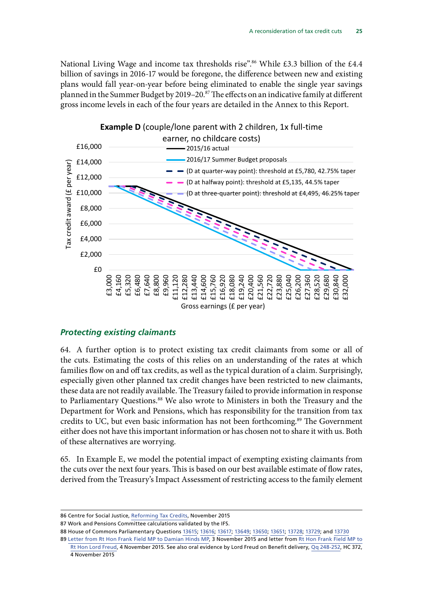<span id="page-26-0"></span>National Living Wage and income tax thresholds rise".<sup>86</sup> While £3.3 billion of the £4.4 billion of savings in 2016-17 would be foregone, the difference between new and existing plans would fall year-on-year before being eliminated to enable the single year savings planned in the Summer Budget by 2019–20.87 The effects on an indicative family at different gross income levels in each of the four years are detailed in the Annex to this Report.



### *Protecting existing claimants*

64. A further option is to protect existing tax credit claimants from some or all of the cuts. Estimating the costs of this relies on an understanding of the rates at which families flow on and off tax credits, as well as the typical duration of a claim. Surprisingly, especially given other planned tax credit changes have been restricted to new claimants, these data are not readily available. The Treasury failed to provide information in response to Parliamentary Questions.<sup>88</sup> We also wrote to Ministers in both the Treasury and the Department for Work and Pensions, which has responsibility for the transition from tax credits to UC, but even basic information has not been forthcoming.<sup>89</sup> The Government either does not have this important information or has chosen not to share it with us. Both of these alternatives are worrying.

65. In Example E, we model the potential impact of exempting existing claimants from the cuts over the next four years. This is based on our best available estimate of flow rates, derived from the Treasury's Impact Assessment of restricting access to the family element

87 Work and Pensions Committee calculations validated by the IFS.

88 House of Commons Parliamentary Questions [13615](http://www.parliament.uk/business/publications/written-questions-answers-statements/written-question/Commons/2015-10-27/13615/); [13616;](http://www.parliament.uk/business/publications/written-questions-answers-statements/written-question/Commons/2015-10-27/13616/) [13617](http://www.parliament.uk/business/publications/written-questions-answers-statements/written-question/Commons/2015-10-27/13617/); [13649](http://www.parliament.uk/business/publications/written-questions-answers-statements/written-question/Commons/2015-10-27/13649/); [13650;](http://www.parliament.uk/business/publications/written-questions-answers-statements/written-question/Commons/2015-10-27/13650/) [13651;](http://www.parliament.uk/business/publications/written-questions-answers-statements/written-question/Commons/2015-10-27/13651/) [13728;](http://www.parliament.uk/business/publications/written-questions-answers-statements/written-question/Commons/2015-10-27/13728/) [13729;](http://www.parliament.uk/business/publications/written-questions-answers-statements/written-question/Commons/2015-10-27/13729/) and [13730](http://www.parliament.uk/business/publications/written-questions-answers-statements/written-question/Commons/2015-10-27/13730/)

<sup>86</sup> Centre for Social Justice, [Reforming Tax Credits,](http://centreforsocialjustice.org.uk/UserStorage/pdf/Pdf%20reports/Reforming-Tax-Credits-full-report.pdf) November 2015

<sup>89</sup> [Letter from Rt Hon Frank Field MP to Damian Hinds MP](http://www.parliament.uk/documents/commons-committees/work-and-pensions/Correspondence/Letter-to-Damian-Hinds-MP-03-11-15-regarding-tax-credit-data.pdf), 3 November 2015 and letter from [Rt Hon Frank Field MP to](http://www.parliament.uk/business/committees/committees-a-z/commons-select/work-and-pensions-committee/inquiries/parliament-2015/tax-credits-15-16/publications/n) [Rt Hon Lord Freud,](http://www.parliament.uk/business/committees/committees-a-z/commons-select/work-and-pensions-committee/inquiries/parliament-2015/tax-credits-15-16/publications/n) 4 November 2015. See also oral evidence by Lord Freud on Benefit delivery, [Qq 248-252](http://www.parliament.uk/business/committees/committees-a-z/commons-select/work-and-pensions-committee/inquiries/parliament-2015/inquiry-name/), HC 372, 4 November 2015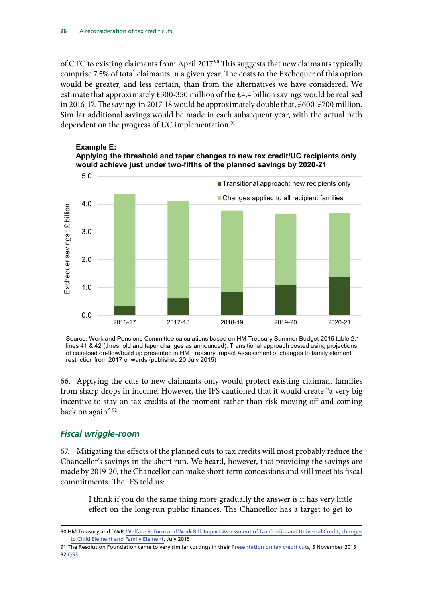<span id="page-27-0"></span>of CTC to existing claimants from April 2017.<sup>90</sup> This suggests that new claimants typically comprise 7.5% of total claimants in a given year. The costs to the Exchequer of this option would be greater, and less certain, than from the alternatives we have considered. We estimate that approximately £300-350 million of the £4.4 billion savings would be realised in 2016-17. The savings in 2017-18 would be approximately double that, £600-£700 million. Similar additional savings would be made in each subsequent year, with the actual path dependent on the progress of UC implementation.<sup>91</sup>





Source: Work and Pensions Committee calculations based on HM Treasury Summer Budget 2015 table 2.1 lines 41 & 42 (threshold and taper changes as announced). Transitional approach costed using projections of caseload on-flow/build up presented in HM Treasury Impact Assessment of changes to family element restriction from 2017 onwards (published 20 July 2015)

66. Applying the cuts to new claimants only would protect existing claimant families from sharp drops in income. However, the IFS cautioned that it would create "a very big incentive to stay on tax credits at the moment rather than risk moving off and coming back on again".<sup>92</sup>

### *Fiscal wriggle-room*

67. Mitigating the effects of the planned cuts to tax credits will most probably reduce the Chancellor's savings in the short run. We heard, however, that providing the savings are made by 2019-20, the Chancellor can make short-term concessions and still meet his fiscal commitments. The IFS told us:

I think if you do the same thing more gradually the answer is it has very little effect on the long-run public finances. The Chancellor has a target to get to

<sup>90</sup> HM Treasury and DWP, [Welfare Reform and Work Bill: Impact Assessment of Tax Credits and Universal Credit, changes](http://www.parliament.uk/documents/impact-assessments/IA15-006E.pdf) [to Child Element and Family Element,](http://www.parliament.uk/documents/impact-assessments/IA15-006E.pdf) July 2015

<sup>91</sup> The Resolution Foundation came to very similar costings in their [Presentation on tax credit cuts](http://www.slideshare.net/ResolutionFoundation/resolution-foundation-tax-credit-cuts-presentation), 5 November 2015 92 [Q53](file://hpap03f/DIS_Rdf$/mellowsfacera/Desktop/data.parliament.uk/writtenevidence/committeeevidence.svc/evidencedocument/work-and-pensions-committee/tax-credits/oral/23508.html)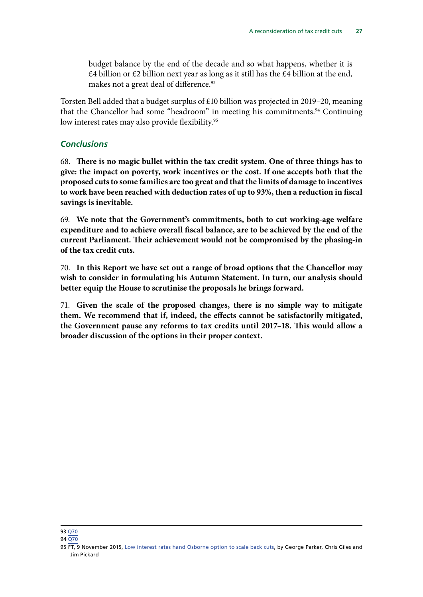<span id="page-28-0"></span>budget balance by the end of the decade and so what happens, whether it is  $£4$  billion or  $£2$  billion next year as long as it still has the  $£4$  billion at the end, makes not a great deal of difference.<sup>93</sup>

Torsten Bell added that a budget surplus of £10 billion was projected in 2019–20, meaning that the Chancellor had some "headroom" in meeting his commitments.<sup>94</sup> Continuing low interest rates may also provide flexibility.<sup>95</sup>

### *Conclusions*

68. **There is no magic bullet within the tax credit system. One of three things has to give: the impact on poverty, work incentives or the cost. If one accepts both that the proposed cuts to some families are too great and that the limits of damage to incentives to work have been reached with deduction rates of up to 93%, then a reduction in fiscal savings is inevitable.** 

69. **We note that the Government's commitments, both to cut working-age welfare expenditure and to achieve overall fiscal balance, are to be achieved by the end of the current Parliament. Their achievement would not be compromised by the phasing-in of the tax credit cuts.**

70. **In this Report we have set out a range of broad options that the Chancellor may wish to consider in formulating his Autumn Statement. In turn, our analysis should better equip the House to scrutinise the proposals he brings forward.**

71. **Given the scale of the proposed changes, there is no simple way to mitigate them. We recommend that if, indeed, the effects cannot be satisfactorily mitigated, the Government pause any reforms to tax credits until 2017–18. This would allow a broader discussion of the options in their proper context.**

<sup>93</sup> [Q70](file://hpap03f/DIS_Rdf$/mellowsfacera/Desktop/data.parliament.uk/writtenevidence/committeeevidence.svc/evidencedocument/work-and-pensions-committee/tax-credits/oral/23508.html)

<sup>94</sup> [Q70](file://hpap03f/DIS_Rdf$/mellowsfacera/Desktop/data.parliament.uk/writtenevidence/committeeevidence.svc/evidencedocument/work-and-pensions-committee/tax-credits/oral/23508.html)

<sup>95</sup> FT, 9 November 2015, [Low interest rates hand Osborne option to scale back cuts,](https://hopuk.sharepoint.com/sites/WorkandPensions/_layouts/15/WopiFrame.aspx?sourcedoc=%7b570E2029-F001-4612-BD5D-535D125A8816%7d&file=Tax%20credit%20analysis%20tables.xlsx&action=default) by George Parker, Chris Giles and Jim Pickard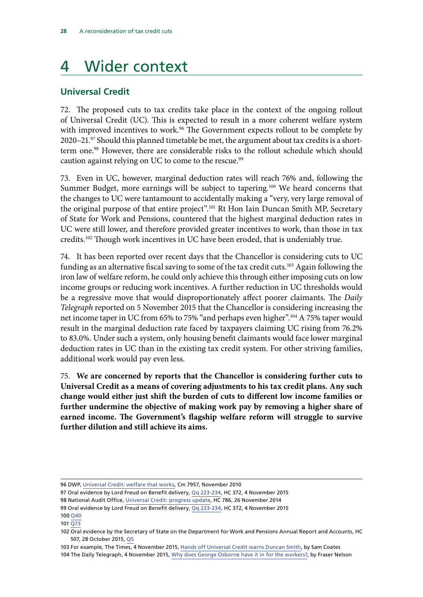# <span id="page-29-0"></span>4 Wider context

### **Universal Credit**

72. The proposed cuts to tax credits take place in the context of the ongoing rollout of Universal Credit (UC). This is expected to result in a more coherent welfare system with improved incentives to work.<sup>96</sup> The Government expects rollout to be complete by 2020–21.97 Should this planned timetable be met, the argument about tax credits is a shortterm one.<sup>98</sup> However, there are considerable risks to the rollout schedule which should caution against relying on UC to come to the rescue.<sup>99</sup>

73. Even in UC, however, marginal deduction rates will reach 76% and, following the Summer Budget, more earnings will be subject to tapering.<sup>100</sup> We heard concerns that the changes to UC were tantamount to accidentally making a "very, very large removal of the original purpose of that entire project".<sup>101</sup> Rt Hon Iain Duncan Smith MP, Secretary of State for Work and Pensions, countered that the highest marginal deduction rates in UC were still lower, and therefore provided greater incentives to work, than those in tax credits.102 Though work incentives in UC have been eroded, that is undeniably true.

74. It has been reported over recent days that the Chancellor is considering cuts to UC funding as an alternative fiscal saving to some of the tax credit cuts.<sup>103</sup> Again following the iron law of welfare reform, he could only achieve this through either imposing cuts on low income groups or reducing work incentives. A further reduction in UC thresholds would be a regressive move that would disproportionately affect poorer claimants. The *Daily Telegraph* reported on 5 November 2015 that the Chancellor is considering increasing the net income taper in UC from 65% to 75% "and perhaps even higher".104 A 75% taper would result in the marginal deduction rate faced by taxpayers claiming UC rising from 76.2% to 83.0%. Under such a system, only housing benefit claimants would face lower marginal deduction rates in UC than in the existing tax credit system. For other striving families, additional work would pay even less.

75. **We are concerned by reports that the Chancellor is considering further cuts to Universal Credit as a means of covering adjustments to his tax credit plans. Any such change would either just shift the burden of cuts to different low income families or further undermine the objective of making work pay by removing a higher share of earned income. The Government's flagship welfare reform will struggle to survive further dilution and still achieve its aims.**

<sup>96</sup> DWP, [Universal Credit: welfare that works,](https://www.gov.uk/government/uploads/system/uploads/attachment_data/file/48897/universal-credit-full-document.pdf) Cm 7957, November 2010

<sup>97</sup> Oral evidence by Lord Freud on Benefit delivery, [Qq 223-234,](http://www.parliament.uk/business/committees/committees-a-z/commons-select/work-and-pensions-committee/inquiries/parliament-2015/inquiry-name/) HC 372, 4 November 2015

<sup>98</sup> National Audit Office, [Universal Credit: progress](https://www.nao.org.uk/wp-content/uploads/2014/11/Universal-Credit-progress-update.pdf) update, HC 786, 26 November 2014

<sup>99</sup> Oral evidence by Lord Freud on Benefit delivery, [Qq 223-234](http://www.parliament.uk/business/committees/committees-a-z/commons-select/work-and-pensions-committee/inquiries/parliament-2015/inquiry-name/), HC 372, 4 November 2015

<sup>100</sup> [Q40](file://hpap03f/DIS_Rdf$/mellowsfacera/Desktop/data.parliament.uk/writtenevidence/committeeevidence.svc/evidencedocument/work-and-pensions-committee/tax-credits/oral/23508.html)

<sup>101</sup> [Q73](file://hpap03f/DIS_Rdf$/mellowsfacera/Desktop/data.parliament.uk/writtenevidence/committeeevidence.svc/evidencedocument/work-and-pensions-committee/tax-credits/oral/23508.html)

<sup>102</sup> Oral evidence by the Secretary of State on the Department for Work and Pensions Annual Report and Accounts, HC 507, 28 October 2015, [Q5](http://www.parliament.uk/documents/commons-committees/work-and-pensions/151028%20DWP%20ARA%20transcript.pdf)

<sup>103</sup> For example, The Times, 4 November 2015, [Hands off Universal Credit warns Duncan Smith,](http://www.thetimes.co.uk/tto/news/politics/article4604202.ece) by Sam Coates

<sup>104</sup> The Daily Telegraph, 4 November 2015, [Why does George Osborne have it in for the workers?,](http://www.telegraph.co.uk/news/politics/georgeosborne/11978065/Why-does-George-Osborne-have-it-in-for-the-workers.html) by Fraser Nelson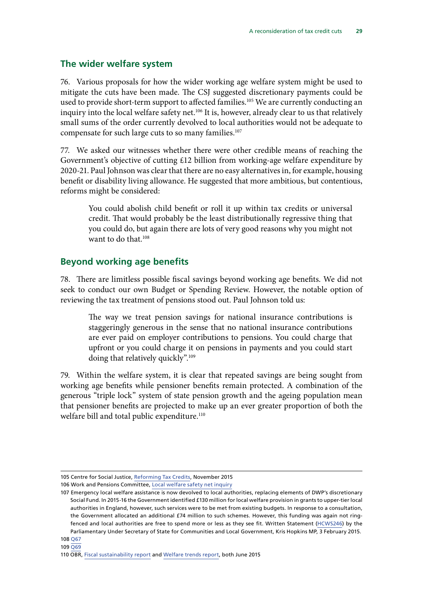### <span id="page-30-0"></span>**The wider welfare system**

76. Various proposals for how the wider working age welfare system might be used to mitigate the cuts have been made. The CSJ suggested discretionary payments could be used to provide short-term support to affected families.<sup>105</sup> We are currently conducting an inquiry into the local welfare safety net.<sup>106</sup> It is, however, already clear to us that relatively small sums of the order currently devolved to local authorities would not be adequate to compensate for such large cuts to so many families.<sup>107</sup>

77. We asked our witnesses whether there were other credible means of reaching the Government's objective of cutting £12 billion from working-age welfare expenditure by 2020-21. Paul Johnson was clear that there are no easy alternatives in, for example, housing benefit or disability living allowance. He suggested that more ambitious, but contentious, reforms might be considered:

You could abolish child benefit or roll it up within tax credits or universal credit. That would probably be the least distributionally regressive thing that you could do, but again there are lots of very good reasons why you might not want to do that.<sup>108</sup>

### **Beyond working age benefits**

78. There are limitless possible fiscal savings beyond working age benefits. We did not seek to conduct our own Budget or Spending Review. However, the notable option of reviewing the tax treatment of pensions stood out. Paul Johnson told us:

The way we treat pension savings for national insurance contributions is staggeringly generous in the sense that no national insurance contributions are ever paid on employer contributions to pensions. You could charge that upfront or you could charge it on pensions in payments and you could start doing that relatively quickly".<sup>109</sup>

79. Within the welfare system, it is clear that repeated savings are being sought from working age benefits while pensioner benefits remain protected. A combination of the generous "triple lock" system of state pension growth and the ageing population mean that pensioner benefits are projected to make up an ever greater proportion of both the welfare bill and total public expenditure.<sup>110</sup>

<sup>105</sup> Centre for Social Justice, [Reforming Tax Credits,](http://centreforsocialjustice.org.uk/UserStorage/pdf/Pdf%20reports/Reforming-Tax-Credits-full-report.pdf) November 2015

<sup>106</sup> Work and Pensions Committee, [Local welfare safety net inquiry](http://www.parliament.uk/business/committees/committees-a-z/commons-select/work-and-pensions-committee/inquiries/parliament-2015/welfare-safety-net-15-16/)

<sup>107</sup> Emergency local welfare assistance is now devolved to local authorities, replacing elements of DWP's discretionary Social Fund. In 2015-16 the Government identified £130 million for local welfare provision in grants to upper-tier local authorities in England, however, such services were to be met from existing budgets. In response to a consultation, the Government allocated an additional £74 million to such schemes. However, this funding was again not ringfenced and local authorities are free to spend more or less as they see fit. Written Statement ([HCWS246\)](http://www.parliament.uk/documents/commons-vote-office/February%202015/3rd%20February/1.DCLG-Local-govt-finance.pdf) by the Parliamentary Under Secretary of State for Communities and Local Government, Kris Hopkins MP, 3 February 2015.

<sup>110</sup> OBR, [Fiscal sustainability report](http://cdn.budgetresponsibility.independent.gov.uk/49753_OBR-Fiscal-Report-Web-Accessible.pdf) and [Welfare trends report](http://cdn.budgetresponsibility.independent.gov.uk/49754-OBR-Welfare-Accessible-v0.2.pdf), both June 2015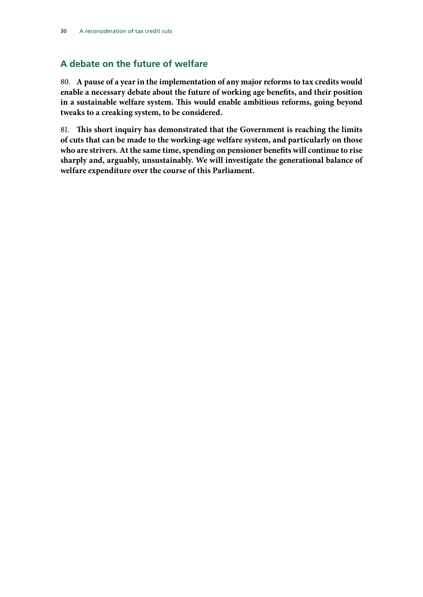### <span id="page-31-0"></span>**A debate on the future of welfare**

80. **A pause of a year in the implementation of any major reforms to tax credits would enable a necessary debate about the future of working age benefits, and their position in a sustainable welfare system. This would enable ambitious reforms, going beyond tweaks to a creaking system, to be considered.**

81. **This short inquiry has demonstrated that the Government is reaching the limits of cuts that can be made to the working-age welfare system, and particularly on those who are strivers. At the same time, spending on pensioner benefits will continue to rise sharply and, arguably, unsustainably. We will investigate the generational balance of welfare expenditure over the course of this Parliament.**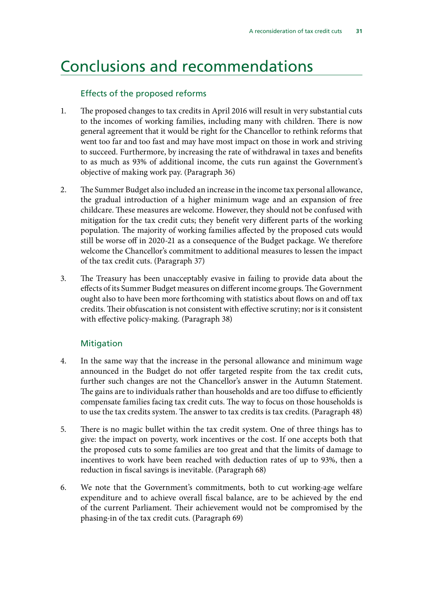# <span id="page-32-0"></span>Conclusions and recommendations

### Effects of the proposed reforms

- 1. The proposed changes to tax credits in April 2016 will result in very substantial cuts to the incomes of working families, including many with children. There is now general agreement that it would be right for the Chancellor to rethink reforms that went too far and too fast and may have most impact on those in work and striving to succeed. Furthermore, by increasing the rate of withdrawal in taxes and benefits to as much as 93% of additional income, the cuts run against the Government's objective of making work pay. (Paragraph 36)
- 2. The Summer Budget also included an increase in the income tax personal allowance, the gradual introduction of a higher minimum wage and an expansion of free childcare. These measures are welcome. However, they should not be confused with mitigation for the tax credit cuts; they benefit very different parts of the working population. The majority of working families affected by the proposed cuts would still be worse off in 2020-21 as a consequence of the Budget package. We therefore welcome the Chancellor's commitment to additional measures to lessen the impact of the tax credit cuts. (Paragraph 37)
- 3. The Treasury has been unacceptably evasive in failing to provide data about the effects of its Summer Budget measures on different income groups. The Government ought also to have been more forthcoming with statistics about flows on and off tax credits. Their obfuscation is not consistent with effective scrutiny; nor is it consistent with effective policy-making. (Paragraph 38)

### **Mitigation**

- 4. In the same way that the increase in the personal allowance and minimum wage announced in the Budget do not offer targeted respite from the tax credit cuts, further such changes are not the Chancellor's answer in the Autumn Statement. The gains are to individuals rather than households and are too diffuse to efficiently compensate families facing tax credit cuts. The way to focus on those households is to use the tax credits system. The answer to tax credits is tax credits. (Paragraph 48)
- 5. There is no magic bullet within the tax credit system. One of three things has to give: the impact on poverty, work incentives or the cost. If one accepts both that the proposed cuts to some families are too great and that the limits of damage to incentives to work have been reached with deduction rates of up to 93%, then a reduction in fiscal savings is inevitable. (Paragraph 68)
- 6. We note that the Government's commitments, both to cut working-age welfare expenditure and to achieve overall fiscal balance, are to be achieved by the end of the current Parliament. Their achievement would not be compromised by the phasing-in of the tax credit cuts. (Paragraph 69)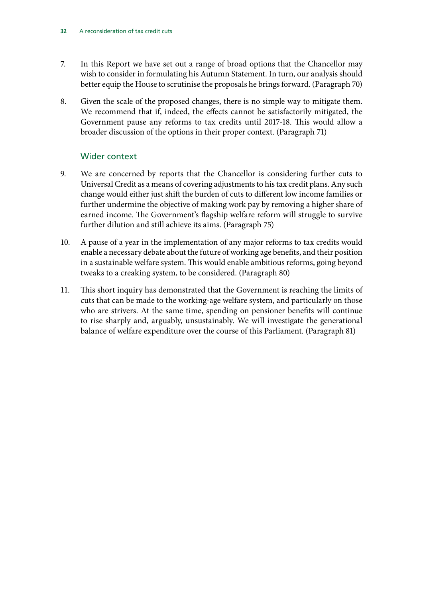- 7. In this Report we have set out a range of broad options that the Chancellor may wish to consider in formulating his Autumn Statement. In turn, our analysis should better equip the House to scrutinise the proposals he brings forward. (Paragraph 70)
- 8. Given the scale of the proposed changes, there is no simple way to mitigate them. We recommend that if, indeed, the effects cannot be satisfactorily mitigated, the Government pause any reforms to tax credits until 2017-18. This would allow a broader discussion of the options in their proper context. (Paragraph 71)

### Wider context

- 9. We are concerned by reports that the Chancellor is considering further cuts to Universal Credit as a means of covering adjustments to his tax credit plans. Any such change would either just shift the burden of cuts to different low income families or further undermine the objective of making work pay by removing a higher share of earned income. The Government's flagship welfare reform will struggle to survive further dilution and still achieve its aims. (Paragraph 75)
- 10. A pause of a year in the implementation of any major reforms to tax credits would enable a necessary debate about the future of working age benefits, and their position in a sustainable welfare system. This would enable ambitious reforms, going beyond tweaks to a creaking system, to be considered. (Paragraph 80)
- 11. This short inquiry has demonstrated that the Government is reaching the limits of cuts that can be made to the working-age welfare system, and particularly on those who are strivers. At the same time, spending on pensioner benefits will continue to rise sharply and, arguably, unsustainably. We will investigate the generational balance of welfare expenditure over the course of this Parliament. (Paragraph 81)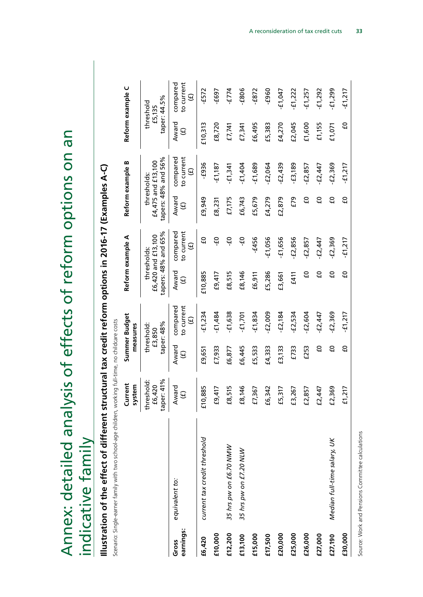<span id="page-34-0"></span>

| effects of reform options on an   |  |
|-----------------------------------|--|
|                                   |  |
|                                   |  |
|                                   |  |
|                                   |  |
| analysis of                       |  |
|                                   |  |
|                                   |  |
| Annex: detailed<br>ndicative fami |  |
|                                   |  |

# Illustration of the effect of different structural tax credit reform options in 2016-17 (Examples A-C) **Illustration of the effect of different structural tax credit reform options in 2016-17 (Examples A-C)**

Scenario: Single-earner family with two school-age children, working full-time, no childcare costs Scenario: Single-earner family with two school-age children, working full-time, no childcare costs

| taper: 48%<br>threshold:<br>£3,850<br>Award<br>C)<br>£7,933<br>£6,445<br>£5,533<br>£4,333<br>£3,133<br>£733<br>£253<br>£6,877<br>£9,651<br>$\widehat{\Theta}$<br>41%<br>threshold:<br>£6,420<br>Award<br>885<br>146<br>£8,515<br>£6,342<br>£9,417<br>£7,367<br>£5,317<br>£3,267<br>57<br>£2,447<br>$\Theta$<br>taper:<br>£10,8<br>£8,1<br>£2,8<br>current tax credit threshold<br>35 hrs pw on £6.70 NMW<br>35 hrs pw on £7.20 NLW<br>equivalent to:<br>earnings:<br>£10,000<br>£12,200<br>£20,000<br>£25,000<br>£26,000<br>£15,000<br>£27,000<br>£13,100<br>£17,500<br>£6,420<br>Gross |         |                             | Current<br><b>em</b><br>syst |    | Summer Budget<br>measures                    |                             | Reform example A                                         |                             | Reform example B                                         |                             | Reform example C                             |
|-----------------------------------------------------------------------------------------------------------------------------------------------------------------------------------------------------------------------------------------------------------------------------------------------------------------------------------------------------------------------------------------------------------------------------------------------------------------------------------------------------------------------------------------------------------------------------------------|---------|-----------------------------|------------------------------|----|----------------------------------------------|-----------------------------|----------------------------------------------------------|-----------------------------|----------------------------------------------------------|-----------------------------|----------------------------------------------|
|                                                                                                                                                                                                                                                                                                                                                                                                                                                                                                                                                                                         |         |                             |                              |    |                                              |                             | tapers: 48% and 65%<br>£6,420 and £13,100<br>thresholds: |                             | tapers: 48% and 56%<br>£4,475 and £13,100<br>thresholds: | £5,135                      | taper: 44.5%<br>threshold                    |
|                                                                                                                                                                                                                                                                                                                                                                                                                                                                                                                                                                                         |         |                             |                              |    | compared<br>to current<br>$\widehat{\Theta}$ | Award<br>$\widehat{\Theta}$ | compared<br>to current<br>$\Theta$                       | Award<br>$\widehat{\Theta}$ | to current<br>compared<br>$\mathbf{\Theta}$              | Award<br>$\widehat{\Theta}$ | compared<br>to current<br>$\widehat{\Theta}$ |
|                                                                                                                                                                                                                                                                                                                                                                                                                                                                                                                                                                                         |         |                             |                              |    | $-£1,234$                                    | £10,885                     | មី                                                       | £9,949                      | $-583-$                                                  | £10,313                     | $-572$                                       |
|                                                                                                                                                                                                                                                                                                                                                                                                                                                                                                                                                                                         |         |                             |                              |    | $-£1,484$                                    | £9,417                      | ឡ                                                        | £8,231                      | $-11,187$                                                | £8,720                      | -£697                                        |
|                                                                                                                                                                                                                                                                                                                                                                                                                                                                                                                                                                                         |         |                             |                              |    | $-51,638$                                    | £8,515                      | د5−                                                      | £7,175                      | $-51,341$                                                | E7,741                      | $-5774$                                      |
|                                                                                                                                                                                                                                                                                                                                                                                                                                                                                                                                                                                         |         |                             |                              |    | $-£1,701$                                    | £8,146                      | ٩                                                        | £6,743                      | $-51,404$                                                | £7,341                      | -£806                                        |
|                                                                                                                                                                                                                                                                                                                                                                                                                                                                                                                                                                                         |         |                             |                              |    | $-£1,834$                                    | £6,911                      | $-5456$                                                  | £5,679                      | $-£1,689$                                                | £6,495                      | $-5832$                                      |
|                                                                                                                                                                                                                                                                                                                                                                                                                                                                                                                                                                                         |         |                             |                              |    | $-52,009$                                    | £5,286                      | $-£1,056$                                                | £4,279                      | $-52,064$                                                | £5,383                      | -£960                                        |
|                                                                                                                                                                                                                                                                                                                                                                                                                                                                                                                                                                                         |         |                             |                              |    | $-2,184$                                     | £3,661                      | $-£1,656$                                                | £2,879                      | $-52,439$                                                | £4,270                      | $-£1,047$                                    |
|                                                                                                                                                                                                                                                                                                                                                                                                                                                                                                                                                                                         |         |                             |                              |    | $-5.534$                                     | £411                        | $-52,856$                                                | $E$ 79                      | $-£3,189$                                                | £2,045                      | $-51,222$                                    |
|                                                                                                                                                                                                                                                                                                                                                                                                                                                                                                                                                                                         |         |                             |                              |    | $-52,604$                                    | ဌ                           | -£2,857                                                  | ဌ                           | -£2,857                                                  | £1,600                      | $-£1,257$                                    |
|                                                                                                                                                                                                                                                                                                                                                                                                                                                                                                                                                                                         |         |                             |                              |    | £2,447                                       | ဌ                           | $-52,447$                                                | ဌ                           | $-52,447$                                                | £1,155                      | $-51,292$                                    |
|                                                                                                                                                                                                                                                                                                                                                                                                                                                                                                                                                                                         | £27,190 | Median full-time salary, UK | £2,369                       | ΕO | $-52,369$                                    | G                           | $-52,369$                                                | ဌ                           | $-52,369$                                                | £1,071                      | $-51,299$                                    |
| Ξ<br>£1,217<br>£30,000                                                                                                                                                                                                                                                                                                                                                                                                                                                                                                                                                                  |         |                             |                              |    | $-11,217$                                    | មី                          | $-51,217$                                                | មី                          | $-51,217$                                                | ဌ                           | $-51,217$                                    |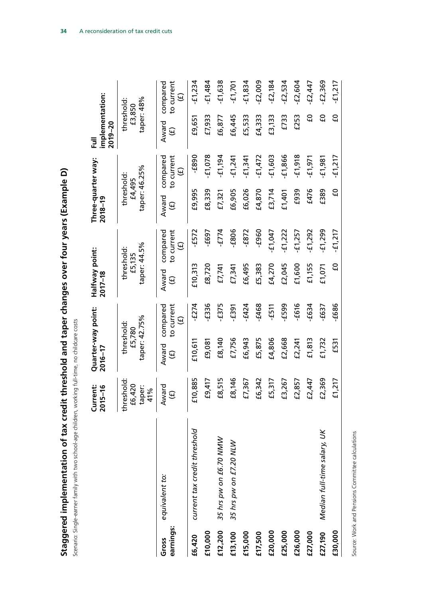| nentation of tax credit threshold and taper changes over four years (Example D)<br>Staggered implem | o childcare cost:<br>י היו או א<br>בריטטובאי<br>cenario: Single-earner fami |
|-----------------------------------------------------------------------------------------------------|-----------------------------------------------------------------------------|

|                    |                              | <b>Current:</b><br>$2015 - 16$ | Quarter-way point:<br>2016-17 |                                              | Halfway point:<br>2017-18       |                                           | Three-quarter way:<br>2018-19 |                                              | implementation:<br>$2019 - 20$<br>쿦 |                                                  |
|--------------------|------------------------------|--------------------------------|-------------------------------|----------------------------------------------|---------------------------------|-------------------------------------------|-------------------------------|----------------------------------------------|-------------------------------------|--------------------------------------------------|
|                    |                              | threshold:<br>£6,420           | threshold:<br>£5,780          |                                              | threshold:<br>£5,135            |                                           | threshold:<br>£4,495          |                                              | threshold:<br>£3,850                |                                                  |
|                    |                              | taper:<br>41%                  | taper: 42.75%                 |                                              | taper: 44.5%                    |                                           | taper: 46.25%                 |                                              | taper: 48%                          |                                                  |
| earnings:<br>Gross | equivalent to:               | Award<br>$\Theta$              | Award<br>$\widehat{\Theta}$   | to current<br>compared<br>$\widehat{\Theta}$ | Award<br>$\widehat{\mathbf{e}}$ | to current<br>compared<br>$\widehat{\Xi}$ | Award<br>$\widehat{\Theta}$   | to current<br>compared<br>$\widehat{\Theta}$ | Award<br>$\widehat{\Theta}$         | compared<br>to current<br>$\widehat{\mathbf{e}}$ |
| £6,420             | current tax credit threshold | 1,885<br>E10                   | £10,611                       | $-5274$                                      | £10,313                         | $-572$                                    | £9,995                        | $-589$                                       | £9,651                              | $-51,234$                                        |
| £10,000            |                              | £9,417                         | £9,081                        | $-£336$                                      | £8,720                          | -£697                                     | £8,339                        | $-£1,078$                                    | £7,933                              | $-51,484$                                        |
| £12,200            | 35 hrs pw on £6.70 NMW       | £8,515                         | £8,140                        | -£375                                        | £7,741                          | $-5774$                                   | £7,321                        | $-5(1, 194$                                  | £6,877                              | $-51,638$                                        |
| £13,100            | 35 hrs pw on £7.20 NLW       | £8,146                         | £7,756                        | £391                                         | £7,341                          | $-508$                                    | £6,905                        | $-51,241$                                    | £6,445                              | $-£1,701$                                        |
| £15,000            |                              | 7,367<br>£7                    | £6,943                        | $-5424$                                      | £6,495                          | $-583-$                                   | £6,026                        | $-£1,341$                                    | £5,533                              | $-£1,834$                                        |
| £17,500            |                              | 342<br>٩£                      | £5,875                        | $-£468$                                      | £5,383                          | $-5960$                                   | £4,870                        | $-51,472$                                    | £4,333                              | $-52,009$                                        |
| £20,000            |                              | £5,317                         | £4,806                        | $-511$                                       | £4,270                          | $-£1,047$                                 | £3,714                        | $-503$                                       | £3,133                              | $-52,184$                                        |
| £25,000            |                              | ,267<br>ር<br>ተ                 | £2,668                        | E599                                         | £2,045                          | $-51,222$                                 | £1,401                        | $-£1,866$                                    | £733                                | $-52,534$                                        |
| £26,000            |                              | £2,857                         | £2,241                        | $-£616$                                      | £1,600                          | $-57$                                     | £939                          | $-51,918$                                    | £253                                | $-52,604$                                        |
| £27,000            |                              | 2,447<br>£2                    | £1, 813                       | £634                                         | £1,155                          | $-51,292$                                 | £476                          | $-51,971$                                    | ဌ                                   | £2,447                                           |
| £27,190            | Median full-time salary, UK  | £2,369                         | £1,732                        | £637                                         | £1,071                          | $-51,299$                                 | £389                          | $-5981$                                      | ဌ                                   | $-52,369$                                        |
| £30,000            |                              | 1217<br>្ន                     | £531                          | -£686                                        | C)                              | £1,217                                    | ဌ                             | $-51,217$                                    | ဌ                                   | $-51,217$                                        |
|                    |                              |                                |                               |                                              |                                 |                                           |                               |                                              |                                     |                                                  |

**34** A reconsideration of tax credit cuts

Source: Work and Pensions Committee calculations Source: Work and Pensions Committee calculations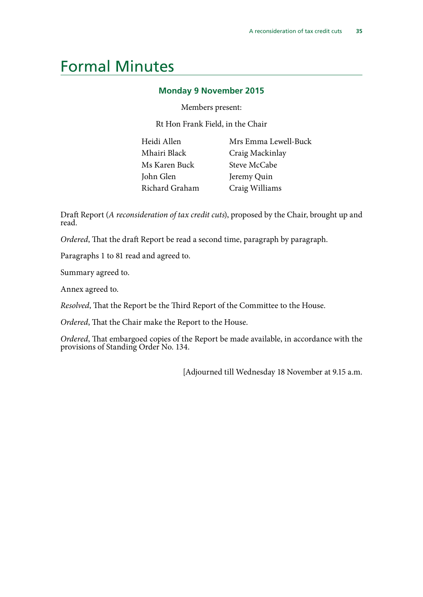# <span id="page-36-0"></span>Formal Minutes

### **Monday 9 November 2015**

Members present:

Rt Hon Frank Field, in the Chair

| Heidi Allen    | M   |
|----------------|-----|
| Mhairi Black   | Cл  |
| Ms Karen Buck  | St  |
| John Glen      | Je: |
| Richard Graham | C)  |

Irs Emma Lewell-Buck raig Mackinlay teve McCabe remy Quin raig Williams

Draft Report (*A reconsideration of tax credit cuts*), proposed by the Chair, brought up and read.

*Ordered*, That the draft Report be read a second time, paragraph by paragraph.

Paragraphs 1 to 81 read and agreed to.

Summary agreed to.

Annex agreed to.

*Resolved*, That the Report be the Third Report of the Committee to the House.

*Ordered*, That the Chair make the Report to the House.

*Ordered*, That embargoed copies of the Report be made available, in accordance with the provisions of Standing Order No. 134.

[Adjourned till Wednesday 18 November at 9.15 a.m.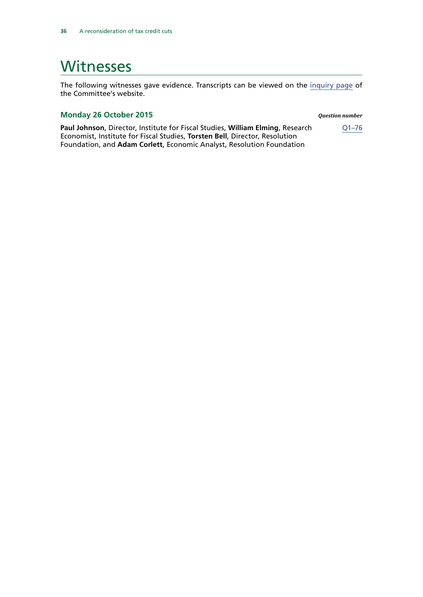# <span id="page-37-0"></span>**Witnesses**

The following witnesses gave evidence. Transcripts can be viewed on the [inquiry page](http://www.parliament.uk/business/committees/committees-a-z/commons-select/work-and-pensions-committee/inquiries/parliament-2015/tax-credits-15-16/) of the Committee's website.

### **Monday 26 October 2015** *Question number*

**Paul Johnson**, Director, Institute for Fiscal Studies, **William Elming**, Research Economist, Institute for Fiscal Studies, **Torsten Bell**, Director, Resolution Foundation, and **Adam Corlett**, Economic Analyst, Resolution Foundation

[Q1–76](http://data.parliament.uk/writtenevidence/committeeevidence.svc/evidencedocument/work-and-pensions-committee/tax-credits/oral/23508.html)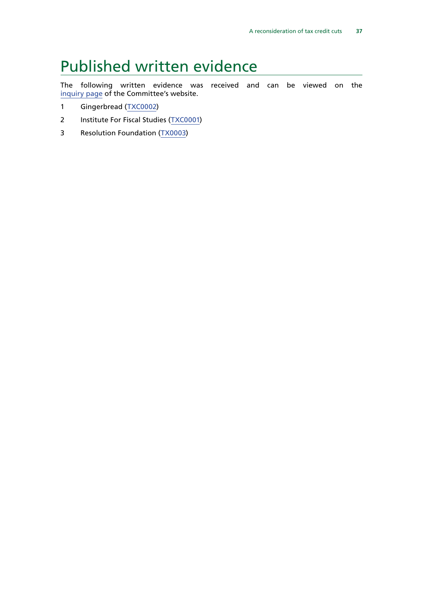# <span id="page-38-0"></span>Published written evidence

The following written evidence was received and can be viewed on the [inquiry page](http://www.parliament.uk/business/committees/committees-a-z/commons-select/work-and-pensions-committee/inquiries/parliament-2015/tax-credits-15-16/) of the Committee's website.

- 1 Gingerbread ([TXC0002](http://data.parliament.uk/WrittenEvidence/CommitteeEvidence.svc/EvidenceDocument/Work%20and%20Pensions/Tax%20credits/written/24265.html))
- 2 Institute For Fiscal Studies ([TXC0001](http://data.parliament.uk/WrittenEvidence/CommitteeEvidence.svc/EvidenceDocument/Work%20and%20Pensions/Tax%20credits/written/24051.html))
- 3 [Resolution Foundation \(TX0003\)](http://data.parliament.uk/writtenevidence/committeeevidence.svc/evidencedocument/work-and-pensions-committee/tax-credits/written/24325.html)